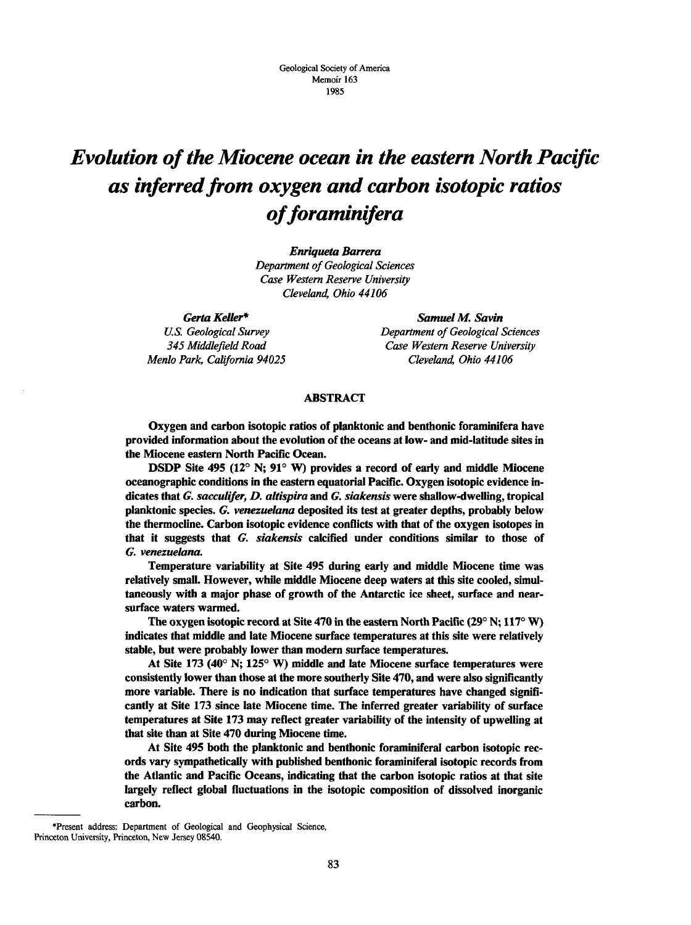# *Evolution of the Miocene ocean in the eastern North Pacific as inferred from oxygen and carbon isotopic ratios offoraminifera*

*Enriqueta Barrera* 

*Department of Geological Sciences Case Western Reserve University Cleveland, Ohio 44106* 

*Gerta Keller\* U.S. Geological Survey 345 Middlefield Road Menlo Park, California 94025* 

*Samuel M. Savin Department of Geological Sciences Case Western Reserve University Cleveland, Ohio 44106* 

#### **ABSTRACT**

**Oxygen and carbon isotopic ratios of planktonic and benthonic foraminifera have provided information about the evolution of the oceans at low- and mid-latitude sites in the Miocene eastern North Pacific Ocean.** 

**DSDP Site 495 (12° N; 91° W) provides a record of early and middle Miocene oceanographic conditions in the eastern equatorial Pacific. Oxygen isotopic evidence indicates that** *G. sacculifer, D. altispira* **and** *G. siakensis* **were shallow-dwelling, tropical planktonic species.** *G. venezuelana* **deposited its test at greater depths, probably below the thermocline. Carbon isotopic evidence conflicts with that of the oxygen isotopes in that it suggests that** *G. siakensis* **calcified under conditions similar to those of**  *G. venezuelana.* 

**Temperature variability at Site 495 during early and middle Miocene time was relatively small. However, while middle Miocene deep waters at this site cooled, simultaneously with a major phase of growth of the Antarctic ice sheet, surface and nearsurface waters warmed.** 

**The oxygen isotopic record at Site 470 in the eastern North Pacific (29° N; 117° W) indicates that middle and late Miocene surface temperatures at this site were relatively stable, but were probably lower than modern surface temperatures.** 

**At Site 173 (40° N; 125° W) middle and late Miocene surface temperatures were consistently lower than those at the more southerly Site 470, and were also significantly more variable. There is no indication that surface temperatures have changed significantly at Site 173 since late Miocene time. The inferred greater variability of surface temperatures at Site 173 may reflect greater variability of the intensity of upwelling at that site than at Site 470 during Miocene time.** 

**At Site 495 both the planktonic and benthonic foraminiferal carbon isotopic records vary sympathetically with published benthonic foraminiferal isotopic records from the Atlantic and Pacific Oceans, indicating that the carbon isotopic ratios at that site largely reflect global fluctuations in the isotopic composition of dissolved inorganic carbon.** 

<sup>•</sup>Present address: Department of Geological and Geophysical Science, Princeton University, Princeton, New Jersey 08540.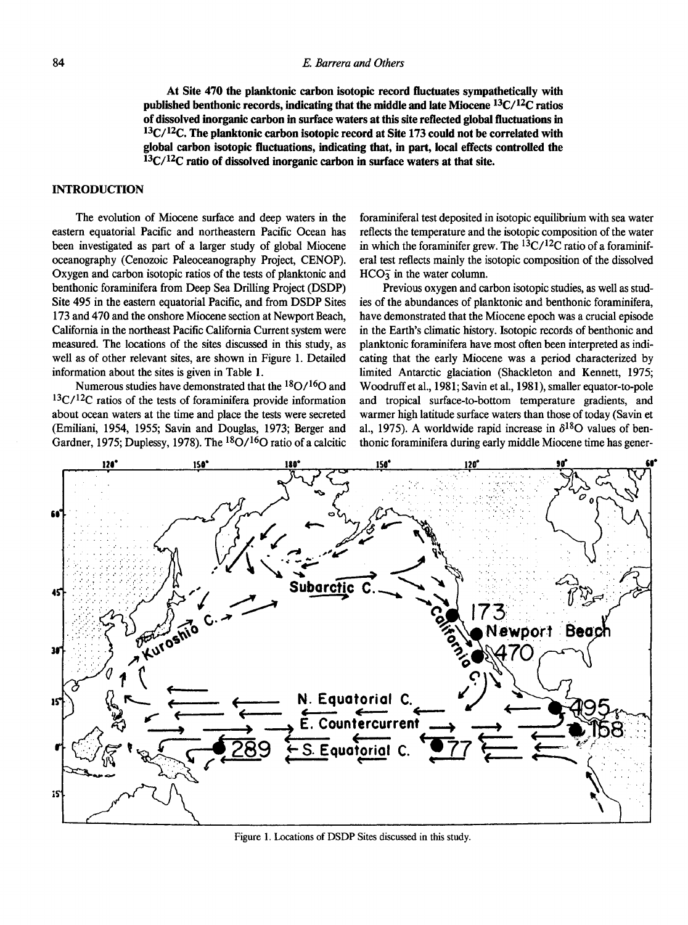**At Site 470 the planktonic carbon isotopic record fluctuates sympathetically with published benthonic records, indicating that the middle and late Miocene <sup>13</sup>C/<sup>12</sup>C ratios of dissolved inorganic carbon in surface waters at this site reflected global fluctuations in <sup>13</sup>C/<sup>12</sup>C. The planktonic carbon isotopic record at Site 173 could not be correlated with global carbon isotopic fluctuations, indicating that, in part, local effects controlled the <sup>13</sup>C/<sup>12</sup>C ratio of dissolved inorganic carbon in surface waters at that site.** 

### **INTRODUCTION**

The evolution of Miocene surface and deep waters in the eastern equatorial Pacific and northeastern Pacific Ocean has been investigated as part of a larger study of global Miocene oceanography (Cenozoic Paleoceanography Project, CENOP). Oxygen and carbon isotopic ratios of the tests of planktonic and benthonic foraminifera from Deep Sea Drilling Project (DSDP) Site 495 in the eastern equatorial Pacific, and from DSDP Sites 173 and 470 and the onshore Miocene section at Newport Beach, California in the northeast Pacific California Current system were measured. The locations of the sites discussed in this study, as well as of other relevant sites, are shown in Figure 1. Detailed information about the sites is given in Table 1.

Numerous studies have demonstrated that the <sup>18</sup>O/<sup>16</sup>O and  $13C/12C$  ratios of the tests of foraminifera provide information about ocean waters at the time and place the tests were secreted (Emiliani, 1954, 1955; Savin and Douglas, 1973; Berger and Gardner, 1975; Duplessy, 1978). The  ${}^{18}O/{}^{16}O$  ratio of a calcitic

foraminiferal test deposited in isotopic equilibrium with sea water reflects the temperature and the isotopic composition of the water in which the foraminifer grew. The  ${}^{13}C/{}^{12}C$  ratio of a foraminiferal test reflects mainly the isotopic composition of the dissolved  $HCO<sub>3</sub>$  in the water column.

Previous oxygen and carbon isotopic studies, as well as studies of the abundances of planktonic and benthonic foraminifera, have demonstrated that the Miocene epoch was a crucial episode in the Earth's climatic history. Isotopic records of benthonic and planktonic foraminifera have most often been interpreted as indicating that the early Miocene was a period characterized by limited Antarctic glaciation (Shackleton and Kennett, 1975; Woodruff et al., 1981; Savin et al., 1981), smaller equator-to-pole and tropical surface-to-bottom temperature gradients, and warmer high latitude surface waters than those of today (Savin et al., 1975). A worldwide rapid increase in  $\delta^{18}O$  values of benthonic foraminifera during early middle Miocene time has gener-



**Figure 1. Locations of DSDP Sites discussed in this study.**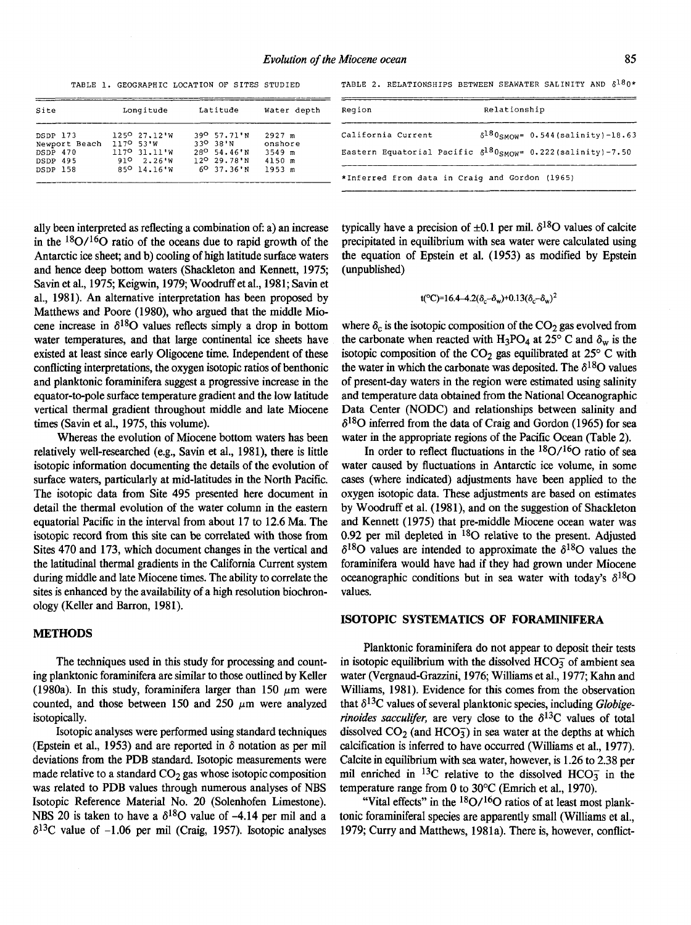TABLE 1. GEOGRAPHIC LOCATION OF SITES STUDIED TABLE 2. RELATIONSHIPS BETWEEN SEAWATER SALINITY AND  $\delta^{18}0^*$ 

| Site                                  | Longitude                                  | Latitude                                                    | Water depth                   | Region                                         | Relationship                                                             |
|---------------------------------------|--------------------------------------------|-------------------------------------------------------------|-------------------------------|------------------------------------------------|--------------------------------------------------------------------------|
| DSDP 173                              | $125027.12$ <sup>1</sup> W                 | 39 <sup>0</sup> 57.71'N                                     | $2927$ m                      | California Current                             | $\delta^{18}$ 0smow= 0.544 (salinity) -18.63                             |
| Newport Beach<br>DSDP 470<br>DSDP 495 | 117° 53'W<br>1170.31.11 W<br>2.26'W<br>910 | 330 38'N<br>28 <sup>0</sup> 54.46'N<br>$12^{\circ}$ 29.78 N | onshore<br>$3549$ m<br>4150 m |                                                | Eastern Equatorial Pacific $\delta^{18}0_{SMOW}$ = 0.222 (salinity)-7.50 |
| DSDP 158                              | 850 14.16 W                                | $6037.36$ 'N                                                | 1953 m                        | *Inferred from data in Craig and Gordon (1965) |                                                                          |

ally been interpreted as reflecting a combination of: a) an increase in the  $18O/16O$  ratio of the oceans due to rapid growth of the Antarctic ice sheet; and b) cooling of high latitude surface waters and hence deep bottom waters (Shackleton and Kennett, 1975; Savin et al., 1975; Keigwin, 1979; Woodruff et al., 1981; Savin et al., 1981). An alternative interpretation has been proposed by Matthews and Poore (1980), who argued that the middle Miocene increase in  $\delta^{18}$ O values reflects simply a drop in bottom water temperatures, and that large continental ice sheets have existed at least since early Oligocene time. Independent of these conflicting interpretations, the oxygen isotopic ratios of benthonic and planktonic foraminifera suggest a progressive increase in the equator-to-pole surface temperature gradient and the low latitude vertical thermal gradient throughout middle and late Miocene times (Savin et al., 1975, this volume).

Whereas the evolution of Miocene bottom waters has been relatively well-researched (e.g., Savin et al., 1981), there is little isotopic information documenting the details of the evolution of surface waters, particularly at mid-latitudes in the North Pacific. The isotopic data from Site 495 presented here document in detail the thermal evolution of the water column in the eastern equatorial Pacific in the interval from about 17 to 12.6 Ma. The isotopic record from this site can be correlated with those from Sites 470 and 173, which document changes in the vertical and the latitudinal thermal gradients in the California Current system during middle and late Miocene times. The ability to correlate the sites is enhanced by the availability of a high resolution biochronology (Keller and Barron, 1981).

### **METHODS**

The techniques used in this study for processing and counting planktonic foraminifera are similar to those outlined by Keller (1980a). In this study, foraminifera larger than 150  $\mu$ m were counted, and those between 150 and 250  $\mu$ m were analyzed isotopically.

Isotopic analyses were performed using standard techniques (Epstein et al., 1953) and are reported in *8* notation as per mil deviations from the PDB standard. Isotopic measurements were made relative to a standard  $CO<sub>2</sub>$  gas whose isotopic composition was related to PDB values through numerous analyses of NBS Isotopic Reference Material No. 20 (Solenhofen Limestone). NBS 20 is taken to have a  $\delta^{18}$ O value of -4.14 per mil and a  $\delta^{13}$ C value of -1.06 per mil (Craig, 1957). Isotopic analyses typically have a precision of  $\pm 0.1$  per mil.  $\delta^{18}$ O values of calcite precipitated in equilibrium with sea water were calculated using the equation of Epstein et al. (1953) as modified by Epstein (unpublished)

$$
t(^{\circ}C)=16.4-4.2(\delta_c-\delta_w)+0.13(\delta_c-\delta_w)^2
$$

where  $\delta_c$  is the isotopic composition of the CO<sub>2</sub> gas evolved from the carbonate when reacted with H<sub>3</sub>PO<sub>4</sub> at 25° C and  $\delta_w$  is the isotopic composition of the  $CO<sub>2</sub>$  gas equilibrated at 25° C with the water in which the carbonate was deposited. The  $\delta^{18}$ O values of present-day waters in the region were estimated using salinity and temperature data obtained from the National Oceanographic Data Center (NODC) and relationships between salinity and  $\delta^{18}$ O inferred from the data of Craig and Gordon (1965) for sea water in the appropriate regions of the Pacific Ocean (Table 2).

In order to reflect fluctuations in the  $18O/16O$  ratio of sea water caused by fluctuations in Antarctic ice volume, in some cases (where indicated) adjustments have been applied to the oxygen isotopic data. These adjustments are based on estimates by Woodruff et al. (1981), and on the suggestion of Shackleton and Kennett (1975) that pre-middle Miocene ocean water was 0.92 per mil depleted in  $^{18}$ O relative to the present. Adjusted  $\delta^{18}$ O values are intended to approximate the  $\delta^{18}$ O values the foraminifera would have had if they had grown under Miocene oceanographic conditions but in sea water with today's  $\delta^{18}O$ values.

#### **ISOTOPIC SYSTEMATICS OF FORAMINIFERA**

Planktonic foraminifera do not appear to deposit their tests in isotopic equilibrium with the dissolved  $HCO<sub>3</sub><sup>-</sup>$  of ambient sea water (Vergnaud-Grazzini, 1976; Williams et al., 1977; Kahn and Williams, 1981). Evidence for this comes from the observation that  $\delta^{13}$ C values of several planktonic species, including *Globigerinoides sacculifer,* are very close to the  $\delta^{13}$ C values of total dissolved  $CO<sub>2</sub>$  (and  $HCO<sub>3</sub>$ ) in sea water at the depths at which calcification is inferred to have occurred (Williams et al., 1977). Calcite in equilibrium with sea water, however, is 1.26 to 2.38 per mil enriched in <sup>13</sup>C relative to the dissolved HCO<sub>3</sub> in the temperature range from 0 to 30°C (Emrich et al., 1970).

"Vital effects" in the  $18O/16O$  ratios of at least most planktonic foraminiferal species are apparently small (Williams et al., 1979; Curry and Matthews, 1981a). There is, however, conflict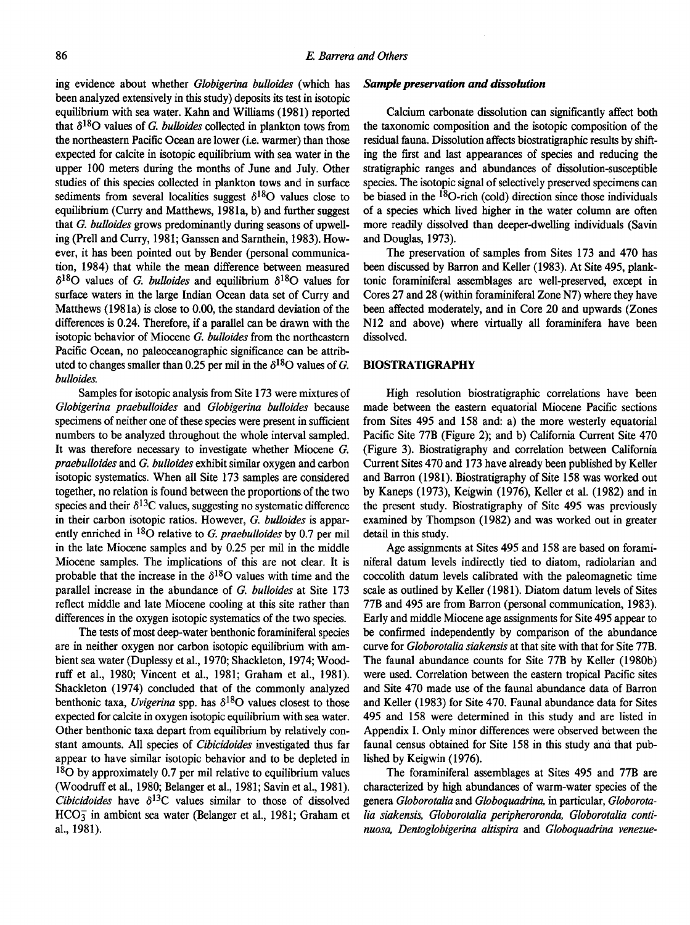ing evidence about whether *Globigerina bulloides* (which has been analyzed extensively in this study) deposits its test in isotopic equilibrium with sea water. Kahn and Williams (1981) reported that  $\delta^{18}$ O values of *G. bulloides* collected in plankton tows from the northeastern Pacific Ocean are lower (i.e. warmer) than those expected for calcite in isotopic equilibrium with sea water in the upper 100 meters during the months of June and July. Other studies of this species collected in plankton tows and in surface sediments from several localities suggest  $\delta^{18}$ O values close to equilibrium (Curry and Matthews, 1981a, b) and further suggest that *G. bulloides* grows predominantly during seasons of upwelling (Prell and Curry, 1981; Ganssen and Sarnthein, 1983). However, it has been pointed out by Bender (personal communication, 1984) that while the mean difference between measured  $\delta^{18}$ O values of *G. bulloides* and equilibrium  $\delta^{18}$ O values for surface waters in the large Indian Ocean data set of Curry and Matthews (1981a) is close to 0.00, the standard deviation of the differences is 0.24. Therefore, if a parallel can be drawn with the isotopic behavior of Miocene *G. bulloides* from the northeastern Pacific Ocean, no paleoceanographic significance can be attributed to changes smaller than 0.25 per mil in the  $\delta^{18}$ O values of G. *bulloides.* 

Samples for isotopic analysis from Site 173 were mixtures of *Globigerina praebulloides* and *Globigerina bulloides* because specimens of neither one of these species were present in sufficient numbers to be analyzed throughout the whole interval sampled. It was therefore necessary to investigate whether Miocene *G. praebulloides* and *G. bulloides* exhibit similar oxygen and carbon isotopic systematics. When all Site 173 samples are considered together, no relation is found between the proportions of the two species and their  $\delta^{13}$ C values, suggesting no systematic difference in their carbon isotopic ratios. However, *G. bulloides* is apparently enriched in <sup>18</sup>O relative to *G. praebulloides* by 0.7 per mil in the late Miocene samples and by 0.25 per mil in the middle Miocene samples. The implications of this are not clear. It is probable that the increase in the  $\delta^{18}$ O values with time and the parallel increase in the abundance of *G. bulloides* at Site 173 reflect middle and late Miocene cooling at this site rather than differences in the oxygen isotopic systematics of the two species.

The tests of most deep-water benthonic foraminiferal species are in neither oxygen nor carbon isotopic equilibrium with ambient sea water (Duplessy et al., 1970; Shackleton, 1974; Woodruff et al., 1980; Vincent et al., 1981; Graham et al., 1981). Shackleton (1974) concluded that of the commonly analyzed benthonic taxa, *Uvigerina* spp. has  $\delta^{18}O$  values closest to those expected for calcite in oxygen isotopic equilibrium with sea water. Other benthonic taxa depart from equilibrium by relatively constant amounts. All species of *Cibicidoides* investigated thus far appear to have similar isotopic behavior and to be depleted in  $18$ O by approximately 0.7 per mil relative to equilibrium values (Woodruff et al., 1980; Belanger et al., 1981; Savin et al., 1981). *Cibicidoides* have  $\delta^{13}$ C values similar to those of dissolved  $HCO<sub>3</sub><sup>-</sup>$  in ambient sea water (Belanger et al., 1981; Graham et al., 1981).

#### *Sample preservation and dissolution*

Calcium carbonate dissolution can significantly affect both the taxonomic composition and the isotopic composition of the residual fauna. Dissolution affects biostratigraphic results by shifting the first and last appearances of species and reducing the stratigraphic ranges and abundances of dissolution-susceptible species. The isotopic signal of selectively preserved specimens can be biased in the <sup>18</sup>O-rich (cold) direction since those individuals of a species which lived higher in the water column are often more readily dissolved than deeper-dwelling individuals (Savin and Douglas, 1973).

The preservation of samples from Sites 173 and 470 has been discussed by Barron and Keller (1983). At Site 495, planktonic foraminiferal assemblages are well-preserved, except in Cores 27 and 28 (within foraminiferal Zone N7) where they have been affected moderately, and in Core 20 and upwards (Zones N12 and above) where virtually all foraminifera have been dissolved.

## **BIOSTRATIGRAPHY**

High resolution biostratigraphic correlations have been made between the eastern equatorial Miocene Pacific sections from Sites 495 and 158 and: a) the more westerly equatorial Pacific Site 77B (Figure 2); and b) California Current Site 470 (Figure 3). Biostratigraphy and correlation between California Current Sites 470 and 173 have already been published by Keller and Barron (1981). Biostratigraphy of Site 158 was worked out by Kaneps (1973), Keigwin (1976), Keller et al. (1982) and in the present study. Biostratigraphy of Site 495 was previously examined by Thompson (1982) and was worked out in greater detail in this study.

Age assignments at Sites 495 and 158 are based on foraminiferal datum levels indirectly tied to diatom, radiolarian and coccolith datum levels calibrated with the paleomagnetic time scale as outlined by Keller (1981). Diatom datum levels of Sites 77B and 495 are from Barron (personal communication, 1983). Early and middle Miocene age assignments for Site 495 appear to be confirmed independently by comparison of the abundance curve for *Globorotalia siakensis* at that site with that for Site 77B. The faunal abundance counts for Site 77B by Keller (1980b) were used. Correlation between the eastern tropical Pacific sites and Site 470 made use of the faunal abundance data of Barron and Keller (1983) for Site 470. Faunal abundance data for Sites 495 and 158 were determined in this study and are listed in Appendix I. Only minor differences were observed between the faunal census obtained for Site 158 in this study and that published by Keigwin (1976).

The foraminiferal assemblages at Sites 495 and 77B are characterized by high abundances of warm-water species of the genera *Globorotalia* and *Globoquadrina,* in particular, *Globorotalia siakensis, Globorotalia peripheroronda, Globorotalia continuosa, Dentoglobigerina altispira* and *Globoquadrina venezue-*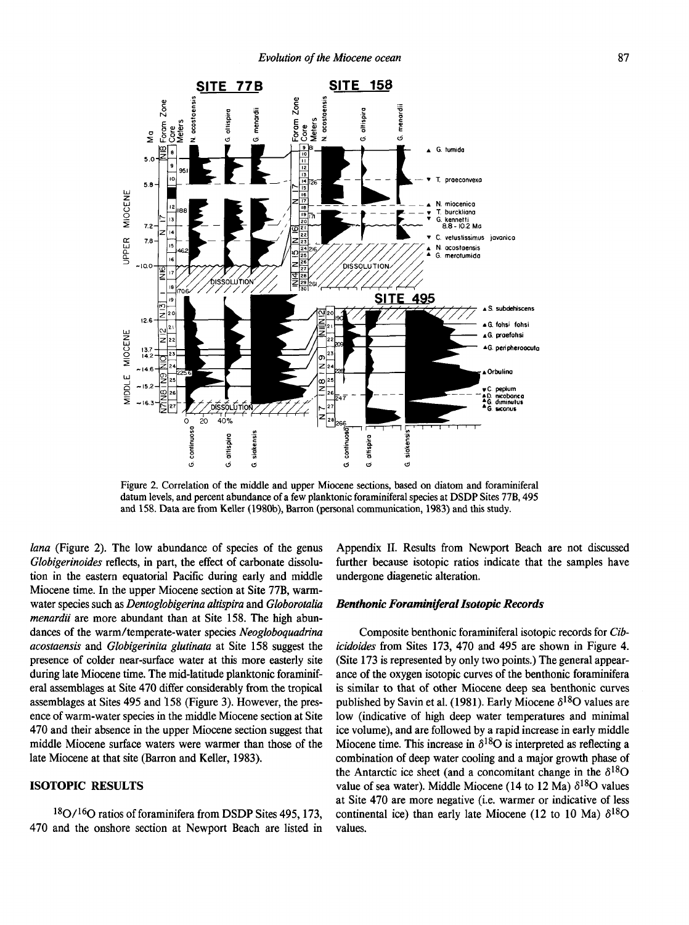

**Figure 2. Correlation of the middle and upper Miocene sections, based on diatom and foraminiferal datum levels, and percent abundance of a few planktonic foraminiferal species at DSDP Sites 77B, 495**  and 158. Data are from Keller (1980b), Barron (personal communication, 1983) and this study.

*/ana* (Figure 2). The low abundance of species of the genus *Globigerinoides* reflects, in part, the effect of carbonate dissolution in the eastern equatorial Pacific during early and middle Miocene time. In the upper Miocene section at Site 77B, warmwater species such as *Dentoglobigerina altispira* and *Globorotalia menardii* are more abundant than at Site 158. The high abundances of the warm/temperate-water species *Neogloboquadrina acostaensis* and *Globigerinita glutinata* at Site 158 suggest the presence of colder near-surface water at this more easterly site during late Miocene time. The mid-latitude planktonic foraminiferal assemblages at Site 470 differ considerably from the tropical assemblages at Sites 495 and 158 (Figure 3). However, the presence of warm-water species in the middle Miocene section at Site 470 and their absence in the upper Miocene section suggest that middle Miocene surface waters were warmer than those of the late Miocene at that site (Barron and Keller, 1983).

# **ISOTOPIC RESULTS**

 $18O/16O$  ratios of foraminifera from DSDP Sites 495, 173, 470 and the onshore section at Newport Beach are listed in

Appendix II. Results from Newport Beach are not discussed further because isotopic ratios indicate that the samples have undergone diagenetic alteration.

#### *Benlhonic Foraminiferal Isotopic Records*

Composite benthonic foraminiferal isotopic records for *Cibicidoides* from Sites 173, 470 and 495 are shown in Figure 4. (Site 173 is represented by only two points.) The general appearance of the oxygen isotopic curves of the benthonic foraminifera is similar to that of other Miocene deep sea benthonic curves published by Savin et al. (1981). Early Miocene  $\delta^{18}O$  values are low (indicative of high deep water temperatures and minimal ice volume), and are followed by a rapid increase in early middle Miocene time. This increase in  $\delta^{18}O$  is interpreted as reflecting a combination of deep water cooling and a major growth phase of the Antarctic ice sheet (and a concomitant change in the  $\delta^{18}O$ value of sea water). Middle Miocene (14 to 12 Ma)  $\delta^{18}O$  values at Site 470 are more negative (i.e. warmer or indicative of less continental ice) than early late Miocene (12 to 10 Ma)  $\delta^{18}O$ values.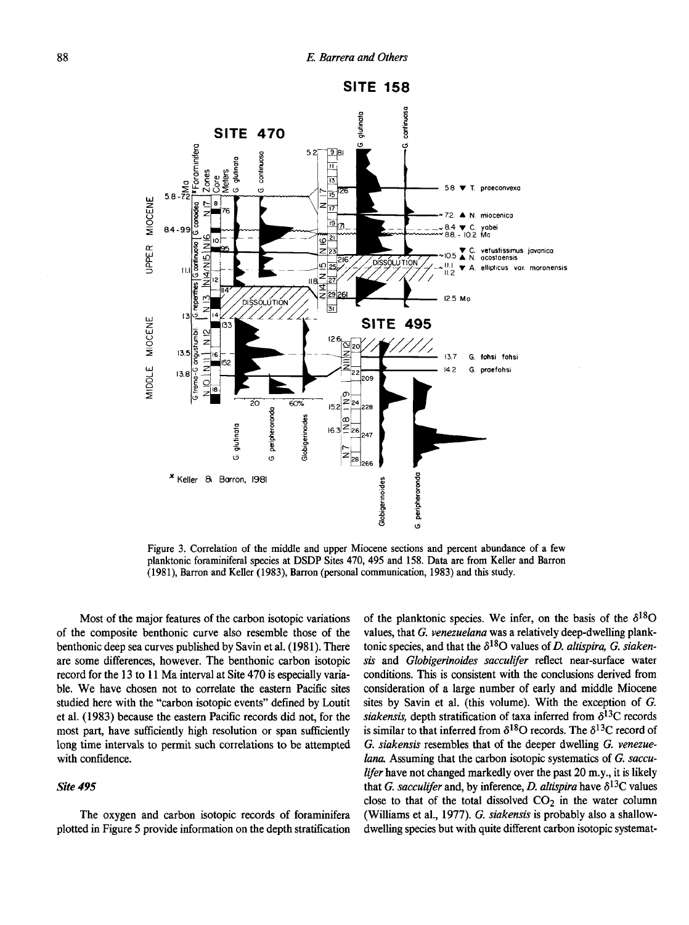

**Figure 3. Correlation of the middle and upper Miocene sections and percent abundance of a few planktonic foraminiferal species at DSDP Sites 470, 495 and 158. Data are from Keller and Barron (1981), Barron and Keller (1983), Barron (personal communication, 1983) and this study.** 

Most of the major features of the carbon isotopic variations of the composite benthonic curve also resemble those of the benthonic deep sea curves published by Savin et al. (1981). There are some differences, however. The benthonic carbon isotopic record for the 13 to 11 Ma interval at Site 470 is especially variable. We have chosen not to correlate the eastern Pacific sites studied here with the "carbon isotopic events" defined by Loutit et al. (1983) because the eastern Pacific records did not, for the most part, have sufficiently high resolution or span sufficiently long time intervals to permit such correlations to be attempted with confidence.

#### *Site 495*

The oxygen and carbon isotopic records of foraminifera plotted in Figure 5 provide information on the depth stratification of the planktonic species. We infer, on the basis of the  $\delta^{18}O$ values, that *G. venezuelana* was a relatively deep-dwelling planktonic species, and that the  $\delta^{18}$ O values of *D. altispira, G. siakensis* and *Globigerinoides sacculifer* reflect near-surface water conditions. This is consistent with the conclusions derived from consideration of a large number of early and middle Miocene sites by Savin et al. (this volume). With the exception of *G. siakensis*, depth stratification of taxa inferred from  $\delta^{13}$ C records is similar to that inferred from  $\delta^{18}O$  records. The  $\delta^{13}C$  record of *G. siakensis* resembles that of the deeper dwelling *G. venezuelana.* Assuming that the carbon isotopic systematics of *G. sacculifer* have not changed markedly over the past 20 m.y., it is likely that *G. sacculifer* and, by inference, *D. altispira* have  $\delta^{13}$ C values close to that of the total dissolved  $CO<sub>2</sub>$  in the water column (Williams et al., 1977). *G. siakensis* is probably also a shallowdwelling species but with quite different carbon isotopic systemat-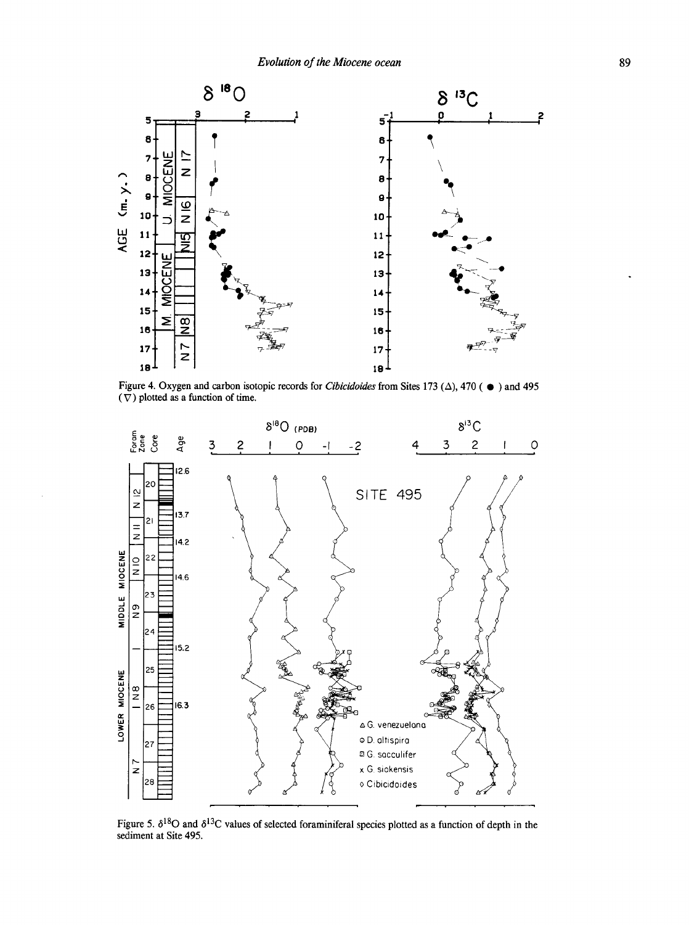

Figure 4. Oxygen and carbon isotopic records for *Cibicidoides* from Sites 173 ( $\Delta$ ), 470 ( $\bullet$ ) and 495 ( $\nabla$ ) plotted as a function of time.



Figure 5.  $\delta^{18}$ O and  $\delta^{13}$ C values of selected foraminiferal species plotted as a function of depth in the sediment at Site 495.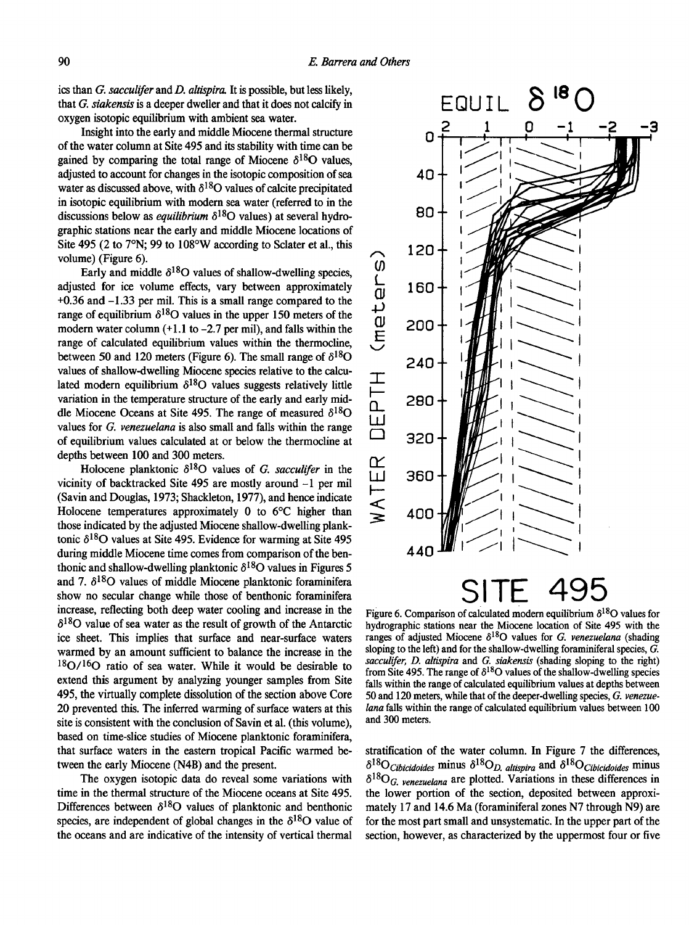ics than *G. sacculifer* and *D. altispira.* It is possible, but less likely, that *G. siakensis* is a deeper dweller and that it does not calcify in oxygen isotopic equilibrium with ambient sea water.

Insight into the early and middle Miocene thermal structure of the water column at Site 495 and its stability with time can be gained by comparing the total range of Miocene  $\delta^{18}$ O values, adjusted to account for changes in the isotopic composition of sea water as discussed above, with  $\delta^{18}O$  values of calcite precipitated in isotopic equilibrium with modern sea water (referred to in the discussions below as *equilibrium*  $\delta^{18}$ O values) at several hydrographic stations near the early and middle Miocene locations of Site 495 (2 to 7°N; 99 to 108°W according to Sclater et al., this volume) (Figure 6).

Early and middle  $\delta^{18}O$  values of shallow-dwelling species, adjusted for ice volume effects, vary between approximately +0.36 and -1.33 per mil. This is a small range compared to the range of equilibrium  $\delta^{18}$ O values in the upper 150 meters of the modern water column  $(+1.1$  to  $-2.7$  per mil), and falls within the range of calculated equilibrium values within the thermocline, between 50 and 120 meters (Figure 6). The small range of  $\delta^{18}O$ values of shallow-dwelling Miocene species relative to the calculated modern equilibrium  $\delta^{18}O$  values suggests relatively little variation in the temperature structure of the early and early middle Miocene Oceans at Site 495. The range of measured  $\delta^{18}O$ values for *G. venezuelana* is also small and falls within the range of equilibrium values calculated at or below the thermocline at depths between 100 and 300 meters.

Holocene planktonic  $\delta^{18}O$  values of *G. sacculifer* in the vicinity of backtracked Site 495 are mostly around -1 per mil (Savin and Douglas, 1973; Shackleton, 1977), and hence indicate Holocene temperatures approximately 0 to 6°C higher than those indicated by the adjusted Miocene shallow-dwelling planktonic  $\delta^{18}$ O values at Site 495. Evidence for warming at Site 495 during middle Miocene time comes from comparison of the benthonic and shallow-dwelling planktonic  $\delta^{18}$ O values in Figures 5 and 7.  $\delta^{18}$ O values of middle Miocene planktonic foraminifera show no secular change while those of benthonic foraminifera increase, reflecting both deep water cooling and increase in the  $\delta^{18}$ O value of sea water as the result of growth of the Antarctic ice sheet. This implies that surface and near-surface waters warmed by an amount sufficient to balance the increase in the  $18O/16O$  ratio of sea water. While it would be desirable to extend this argument by analyzing younger samples from Site 495, the virtually complete dissolution of the section above Core 20 prevented this. The inferred warming of surface waters at this site is consistent with the conclusion of Savin et al. (this volume), based on time-slice studies of Miocene planktonic foraminifera, that surface waters in the eastern tropical Pacific warmed between the early Miocene (N4B) and the present.

The oxygen isotopic data do reveal some variations with time in the thermal structure of the Miocene oceans at Site 495. Differences between  $\delta^{18}$ O values of planktonic and benthonic species, are independent of global changes in the  $\delta^{18}O$  value of the oceans and are indicative of the intensity of vertical thermal



Figure 6. Comparison of calculated modern equilibrium  $\delta^{18}$ O values for **hydrographic stations near the Miocene location of Site 495 with the**  ranges of adjusted Miocene  $\delta^{18}$ O values for *G. venezuelana* (shading **sloping to the left) and for the shallow-dwelling foraminiferal species,** *G. sacculifer, D. altispira* **and** *G. siakensis* **(shading sloping to the right)**  from Site 495. The range of  $\delta^{18}$ O values of the shallow-dwelling species **falls within the range of calculated equilibrium values at depths between 50 and 120 meters, while that of the deeper-dwelling species,** *G. venezuelana* **falls within the range of calculated equilibrium values between 100 and 300 meters.** 

stratification of the water column. In Figure 7 the differences,  $\delta^{18}O_{Cibicidoides}$  minus  $\delta^{18}O_{Dc}$  *altispira* and  $\delta^{18}O_{Cibicidoides}$  minus  $\delta^{18}O_G$  venezuelana are plotted. Variations in these differences in the lower portion of the section, deposited between approximately 17 and 14.6 Ma (foraminiferal zones N7 through N9) are for the most part small and unsystematic. In the upper part of the section, however, as characterized by the uppermost four or five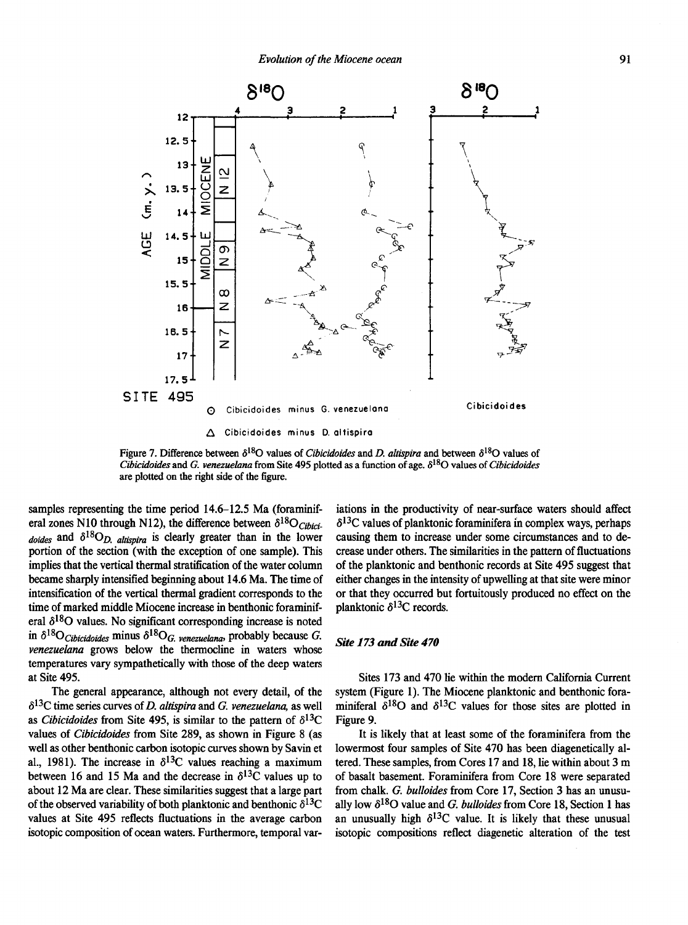

**Figure 7. Difference between**  $\delta^{18}O$  **values of** *Cibicidoides* **and** *D. altispira* **and between**  $\delta^{18}O$  **values of** *Cibicidoides* **and** *G. venezuelana* **from Site 495 plotted as a function of age. S l sO values of** *Cibicidoides*  **are plotted on the right side of the figure.** 

samples representing the time period 14.6–12.5 Ma (foraminiferal zones N10 through N12), the difference between  $\delta^{18}O_{Cibici}$  $dodes$  and  $\delta^{18}O_D$  altispira is clearly greater than in the lower portion of the section (with the exception of one sample). This implies that the vertical thermal stratification of the water column became sharply intensified beginning about 14.6 Ma. The time of intensification of the vertical thermal gradient corresponds to the time of marked middle Miocene increase in benthonic foraminiferal  $\delta^{18}$ O values. No significant corresponding increase is noted in  $\delta^{18}O_{\text{Cibicidoides}}$  minus  $\delta^{18}O_G$ , venezuelana, probably because G. *venezuelana* grows below the thermocline in waters whose temperatures vary sympathetically with those of the deep waters at Site 495.

The general appearance, although not every detail, of the  $\delta^{13}$ C time series curves of *D. altispira* and *G. venezuelana*, as well as *Cibicidoides* from Site 495, is similar to the pattern of  $\delta^{13}C$ values of *Cibicidoides* from Site 289, as shown in Figure 8 (as well as other benthonic carbon isotopic curves shown by Savin et al., 1981). The increase in  $\delta^{13}$ C values reaching a maximum between 16 and 15 Ma and the decrease in  $\delta^{13}$ C values up to about 12 Ma are clear. These similarities suggest that a large part of the observed variability of both planktonic and benthonic  $\delta^{13}C$ values at Site 495 reflects fluctuations in the average carbon isotopic composition of ocean waters. Furthermore, temporal var-

iations in the productivity of near-surface waters should affect  $\delta^{13}$ C values of planktonic foraminifera in complex ways, perhaps causing them to increase under some circumstances and to decrease under others. The similarities in the pattern of fluctuations of the planktonic and benthonic records at Site 495 suggest that either changes in the intensity of upwelling at that site were minor or that they occurred but fortuitously produced no effect on the planktonic  $\delta^{13}$ C records.

#### *Site 173 and Site 470*

Sites 173 and 470 lie within the modern California Current system (Figure 1). The Miocene planktonic and benthonic foraminiferal  $\delta^{18}$ O and  $\delta^{13}$ C values for those sites are plotted in Figure 9.

It is likely that at least some of the foraminifera from the lowermost four samples of Site 470 has been diagenetically altered. These samples, from Cores 17 and 18, lie within about 3 m of basalt basement. Foraminifera from Core 18 were separated from chalk. *G. bulloides* from Core 17, Section 3 has an unusually low  $\delta^{18}O$  value and *G. bulloides* from Core 18, Section 1 has an unusually high  $\delta^{13}$ C value. It is likely that these unusual isotopic compositions reflect diagenetic alteration of the test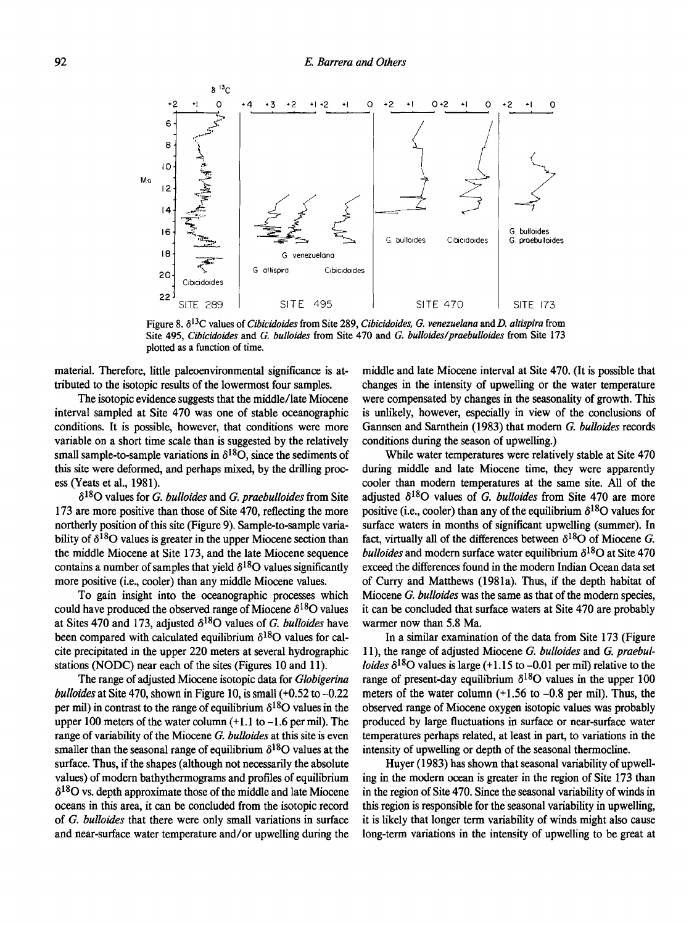

Figure 8.  $\delta^{13}$ C values of *Cibicidoides* from Site 289, *Cibicidoides, G. venezuelana* and *D. altispira* from **Site 495,** *Cibicidoides* **and** *G. bulloides* **from Site 470 and** *G. bulloides/praebulloides* **from Site 173 plotted as a function of time.** 

material. Therefore, little paleoenvironmental significance is attributed to the isotopic results of the lowermost four samples.

The isotopic evidence suggests that the middle/late Miocene interval sampled at Site 470 was one of stable oceanographic conditions. It is possible, however, that conditions were more variable on a short time scale than is suggested by the relatively small sample-to-sample variations in  $\delta^{18}O$ , since the sediments of this site were deformed, and perhaps mixed, by the drilling process (Yeats et al., 1981).

<5I80 values for *G. bulloides* and *G. praebulloides* from Site 173 are more positive than those of Site 470, reflecting the more northerly position of this site (Figure 9). Sample-to-sample variability of  $\delta^{18}$ O values is greater in the upper Miocene section than the middle Miocene at Site 173, and the late Miocene sequence contains a number of samples that yield  $\delta^{18}$ O values significantly more positive (i.e., cooler) than any middle Miocene values.

To gain insight into the oceanographic processes which could have produced the observed range of Miocene  $\delta^{18}$ O values at Sites 470 and 173, adjusted  $\delta^{18}O$  values of *G. bulloides* have been compared with calculated equilibrium  $\delta^{18}$ O values for calcite precipitated in the upper 220 meters at several hydrographic stations (NODC) near each of the sites (Figures 10 and 11).

The range of adjusted Miocene isotopic data for *Globigerina bulloides* at Site 470, shown in Figure 10, is small (+0.52 to -0.22 per mil) in contrast to the range of equilibrium  $\delta^{18}$ O values in the upper 100 meters of the water column  $(+1.1)$  to  $-1.6$  per mil). The range of variability of the Miocene *G. bulloides* at this site is even smaller than the seasonal range of equilibrium  $\delta^{18}$ O values at the surface. Thus, if the shapes (although not necessarily the absolute values) of modern bathythermograms and profiles of equilibrium  $\delta^{18}$ O vs. depth approximate those of the middle and late Miocene oceans in this area, it can be concluded from the isotopic record of *G. bulloides* that there were only small variations in surface and near-surface water temperature and/or upwelling during the

middle and late Miocene interval at Site 470. (It is possible that changes in the intensity of upwelling or the water temperature were compensated by changes in the seasonality of growth. This is unlikely, however, especially in view of the conclusions of Gannsen and Sarnthein (1983) that modern *G. bulloides* records conditions during the season of upwelling.)

While water temperatures were relatively stable at Site 470 during middle and late Miocene time, they were apparently cooler than modern temperatures at the same site. All of the adjusted  $\delta^{18}O$  values of *G. bulloides* from Site 470 are more positive (i.e., cooler) than any of the equilibrium  $\delta^{18}O$  values for surface waters in months of significant upwelling (summer). In fact, virtually all of the differences between  $\delta^{18}$ O of Miocene *G*. *bulloides* and modern surface water equilibrium  $\delta^{18}$ O at Site 470 exceed the differences found in the modern Indian Ocean data set of Curry and Matthews (1981a). Thus, if the depth habitat of Miocene *G. bulloides* was the same as that of the modern species, it can be concluded that surface waters at Site 470 are probably warmer now than 5.8 Ma.

In a similar examination of the data from Site 173 (Figure 11), the range of adjusted Miocene *G. bulloides* and *G. praebulloides*  $\delta^{18}$ O values is large (+1.15 to -0.01 per mil) relative to the range of present-day equilibrium  $\delta^{18}$ O values in the upper 100 meters of the water column (+1.56 to -0.8 per mil). Thus, the observed range of Miocene oxygen isotopic values was probably produced by large fluctuations in surface or near-surface water temperatures perhaps related, at least in part, to variations in the intensity of upwelling or depth of the seasonal thermocline.

Huyer (1983) has shown that seasonal variability of upwelling in the modern ocean is greater in the region of Site 173 than in the region of Site 470. Since the seasonal variability of winds in this region is responsible for the seasonal variability in upwelling, it is likely that longer term variability of winds might also cause long-term variations in the intensity of upwelling to be great at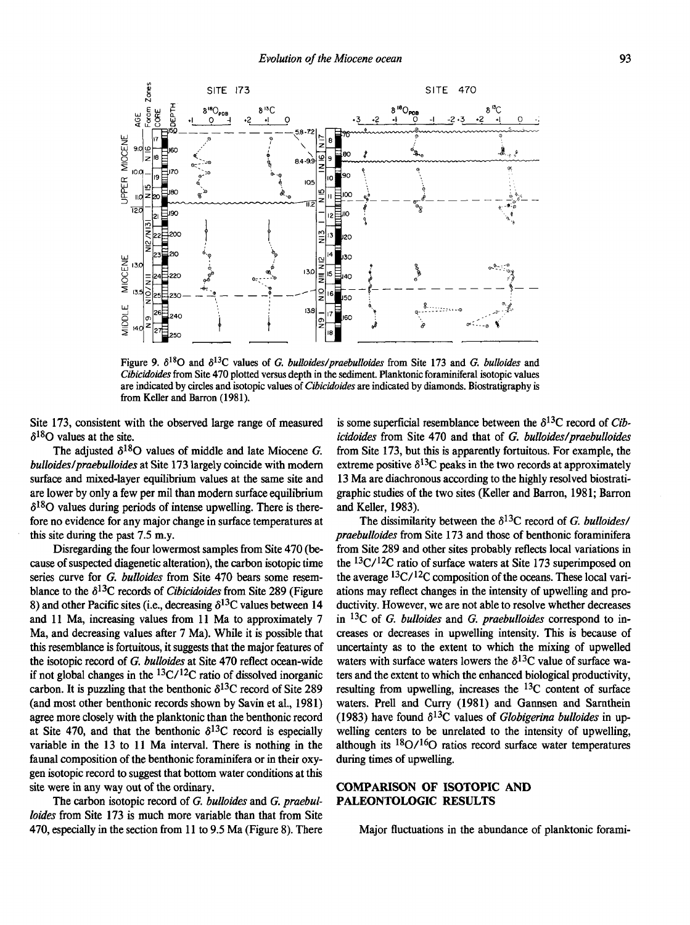

Figure 9.  $\delta^{18}$ O and  $\delta^{13}$ C values of *G. bulloides/praebulloides* from Site 173 and *G. bulloides* and *Cibicidoides* **from Site 470 plotted versus depth in the sediment. Planktonic foraminiferal isotopic values are indicated by circles and isotopic values of** *Cibicidoides* **are indicated by diamonds. Biostratigraphy is from Keller and Barron (1981).** 

Site 173, consistent with the observed large range of measured  $\delta^{18}$ O values at the site.

The adjusted  $\delta^{18}O$  values of middle and late Miocene *G*. *bulloides/praebulloides* at Site 173 largely coincide with modern surface and mixed-layer equilibrium values at the same site and are lower by only a few per mil than modern surface equilibrium  $\delta^{18}$ O values during periods of intense upwelling. There is therefore no evidence for any major change in surface temperatures at this site during the past 7.5 m.y.

Disregarding the four lowermost samples from Site 470 (because of suspected diagenetic alteration), the carbon isotopic time series curve for *G. bulloides* from Site 470 bears some resemblance to the  $\delta^{13}$ C records of *Cibicidoides* from Site 289 (Figure 8) and other Pacific sites (i.e., decreasing  $\delta^{13}$ C values between 14 and 11 Ma, increasing values from 11 Ma to approximately 7 Ma, and decreasing values after 7 Ma). While it is possible that this resemblance is fortuitous, it suggests that the major features of the isotopic record of *G. bulloides* at Site 470 reflect ocean-wide if not global changes in the  ${}^{13}C/{}^{12}C$  ratio of dissolved inorganic carbon. It is puzzling that the benthonic  $\delta^{13}$ C record of Site 289 (and most other benthonic records shown by Savin et al., 1981) agree more closely with the planktonic than the benthonic record at Site 470, and that the benthonic  $\delta^{13}$ C record is especially variable in the 13 to 11 Ma interval. There is nothing in the faunal composition of the benthonic foraminifera or in their oxygen isotopic record to suggest that bottom water conditions at this site were in any way out of the ordinary.

The carbon isotopic record of *G. bulloides* and *G. praebulloides* from Site 173 is much more variable than that from Site 470, especially in the section from 11 to 9.5 Ma (Figure 8). There

is some superficial resemblance between the  $\delta^{13}$ C record of *Cibicidoides* from Site 470 and that of *G. bulloides/praebulloides*  from Site 173, but this is apparently fortuitous. For example, the extreme positive  $\delta^{13}$ C peaks in the two records at approximately 13 Ma are diachronous according to the highly resolved biostratigraphic studies of the two sites (Keller and Barron, 1981; Barron and Keller, 1983).

The dissimilarity between the  $\delta^{13}$ C record of *G. bulloides*/ *praebulloides* from Site 173 and those of benthonic foraminifera from Site 289 and other sites probably reflects local variations in the <sup>13</sup>C/<sup>12</sup>C ratio of surface waters at Site 173 superimposed on the average <sup>13</sup>C/<sup>12</sup>C composition of the oceans. These local variations may reflect changes in the intensity of upwelling and productivity. However, we are not able to resolve whether decreases in <sup>13</sup>C of *G. bulloides* and *G. praebulloides* correspond to increases or decreases in upwelling intensity. This is because of uncertainty as to the extent to which the mixing of upwelled waters with surface waters lowers the  $\delta^{13}$ C value of surface waters and the extent to which the enhanced biological productivity, resulting from upwelling, increases the <sup>13</sup>C content of surface waters. Prell and Curry (1981) and Gannsen and Sarnthein (1983) have found  $\delta^{13}$ C values of *Globigerina bulloides* in upwelling centers to be unrelated to the intensity of upwelling, although its  $\frac{18}{0}$ / $\frac{16}{0}$  ratios record surface water temperatures during times of upwelling.

# **COMPARISON OF ISOTOPIC AND PALEONTOLOGIC RESULTS**

Major fluctuations in the abundance of planktonic forami-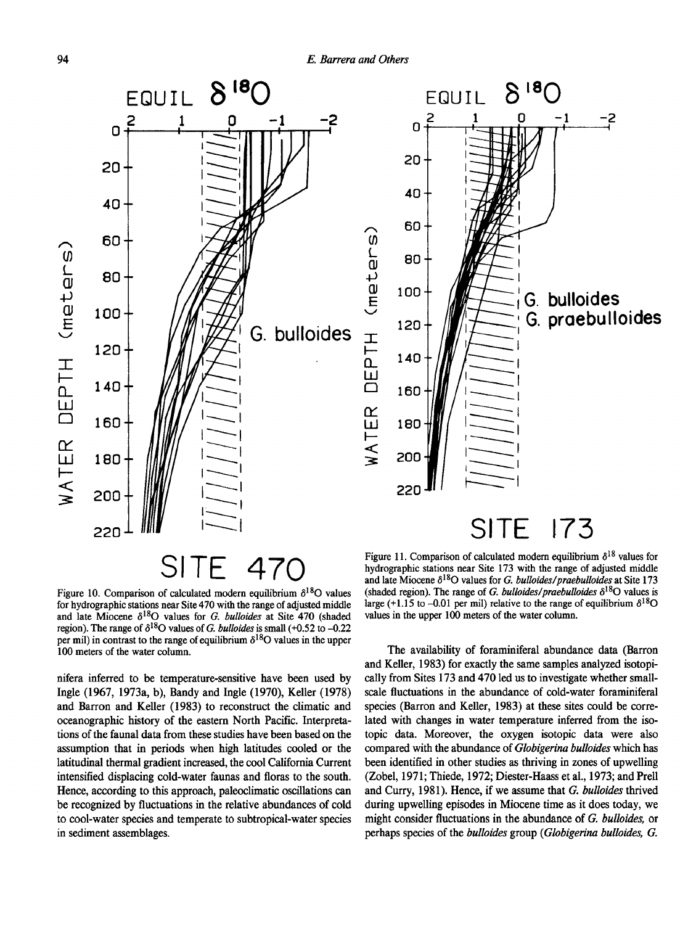



**G. bulloides** 

-2

Figure 10. Comparison of calculated modern equilibrium  $\delta^{18}$ O values **for hydrographic stations near Site 470 with the range of adjusted middle**  and late Miocene  $\delta^{18}$ O values for *G. bulloides* at Site 470 (shaded **region**). The range of  $\delta^{18}$ O values of *G. bulloides* is small (+0.52 to -0.22 per mil) in contrast to the range of equilibrium  $\delta^{18}$ O values in the upper **100 meters of the water column.** 

nifera inferred to be temperature-sensitive have been used by Ingle (1967, 1973a, b), Bandy and Ingle (1970), Keller (1978) and Barron and Keller (1983) to reconstruct the climatic and oceanographic history of the eastern North Pacific. Interpretations of the faunal data from these studies have been based on the assumption that in periods when high latitudes cooled or the latitudinal thermal gradient increased, the cool California Current intensified displacing cold-water faunas and floras to the south. Hence, according to this approach, paleoclimatic oscillations can be recognized by fluctuations in the relative abundances of cold to cool-water species and temperate to subtropical-water species in sediment assemblages.

**hydrographic stations near Site 173 with the range of adjusted middle**  and late Miocene  $\delta^{18}$ O values for *G. bulloides/praebulloides* at Site 173 (shaded region). The range of *G. bulloides/praebulloides*  $\delta^{18}O$  values is large (+1.15 to -0.01 per mil) relative to the range of equilibrium  $\delta^{18}O$ **values in the upper 100 meters of the water column.** 

The availability of foraminiferal abundance data (Barron and Keller, 1983) for exactly the same samples analyzed isotopically from Sites 173 and 470 led us to investigate whether smallscale fluctuations in the abundance of cold-water foraminiferal species (Barron and Keller, 1983) at these sites could be correlated with changes in water temperature inferred from the isotopic data. Moreover, the oxygen isotopic data were also compared with the abundance of *Globigerina bulloides* which has been identified in other studies as thriving in zones of upwelling (Zobel, 1971; Thiede, 1972; Diester-Haass et al., 1973; and Prell and Curry, 1981). Hence, if we assume that *G. bulloides* thrived during upwelling episodes in Miocene time as it does today, we might consider fluctuations in the abundance of *G. bulloides,* or perhaps species of the *bulloides* group (*Globigerina bulloides, G.*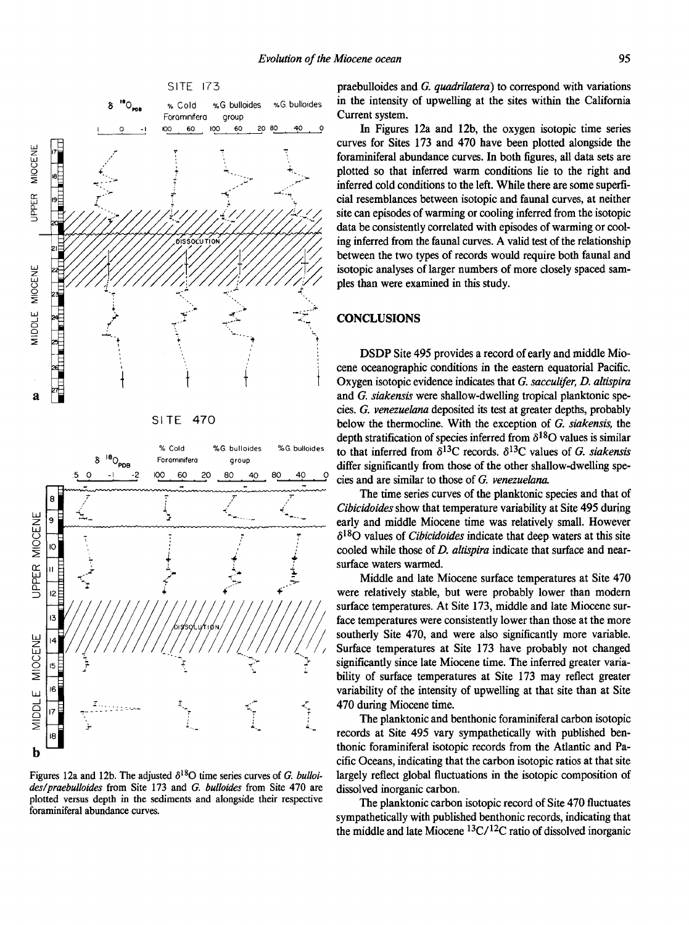



Figures 12a and 12b. The adjusted  $\delta^{18}$ O time series curves of *G. bulloides/praebulloides* **from Site 173 and** *G. bulloides* **from Site 470 are plotted versus depth in the sediments and alongside their respective foraminiferal abundance curves.** 

praebulloides and *G. quadrilatera)* to correspond with variations in the intensity of upwelling at the sites within the California Current system.

In Figures 12a and 12b, the oxygen isotopic time series curves for Sites 173 and 470 have been plotted alongside the foraminiferal abundance curves. In both figures, all data sets are plotted so that inferred warm conditions lie to the right and inferred cold conditions to the left. While there are some superficial resemblances between isotopic and faunal curves, at neither site can episodes of warming or cooling inferred from the isotopic data be consistently correlated with episodes of warming or cooling inferred from the faunal curves. A valid test of the relationship between the two types of records would require both faunal and isotopic analyses of larger numbers of more closely spaced samples than were examined in this study.

#### **CONCLUSIONS**

DSDP Site 495 provides a record of early and middle Miocene oceanographic conditions in the eastern equatorial Pacific. Oxygen isotopic evidence indicates that *G. sacculifer, D. altispira*  and *G. siakensis* were shallow-dwelling tropical planktonic species. *G. venezuelana* deposited its test at greater depths, probably below the thermocline. With the exception of *G. siakensis,* the depth stratification of species inferred from  $\delta^{18}$ O values is similar to that inferred from  $\delta^{13}$ C records.  $\delta^{13}$ C values of *G. siakensis* differ significantly from those of the other shallow-dwelling species and are similar to those of *G. venezuelana.* 

The time series curves of the planktonic species and that of *Cibicidoides* show that temperature variability at Site 495 during early and middle Miocene time was relatively small. However  $\delta^{18}$ O values of *Cibicidoides* indicate that deep waters at this site cooled while those of *D. altispira* indicate that surface and nearsurface waters warmed.

Middle and late Miocene surface temperatures at Site 470 were relatively stable, but were probably lower than modern surface temperatures. At Site 173, middle and late Miocene surface temperatures were consistently lower than those at the more southerly Site 470, and were also significantly more variable. Surface temperatures at Site 173 have probably not changed significantly since late Miocene time. The inferred greater variability of surface temperatures at Site 173 may reflect greater variability of the intensity of upwelling at that site than at Site 470 during Miocene time.

The planktonic and benthonic foraminiferal carbon isotopic records at Site 495 vary sympathetically with published benthonic foraminiferal isotopic records from the Atlantic and Pacific Oceans, indicating that the carbon isotopic ratios at that site largely reflect global fluctuations in the isotopic composition of dissolved inorganic carbon.

The planktonic carbon isotopic record of Site 470 fluctuates sympathetically with published benthonic records, indicating that the middle and late Miocene <sup>13</sup>C/<sup>12</sup>C ratio of dissolved inorganic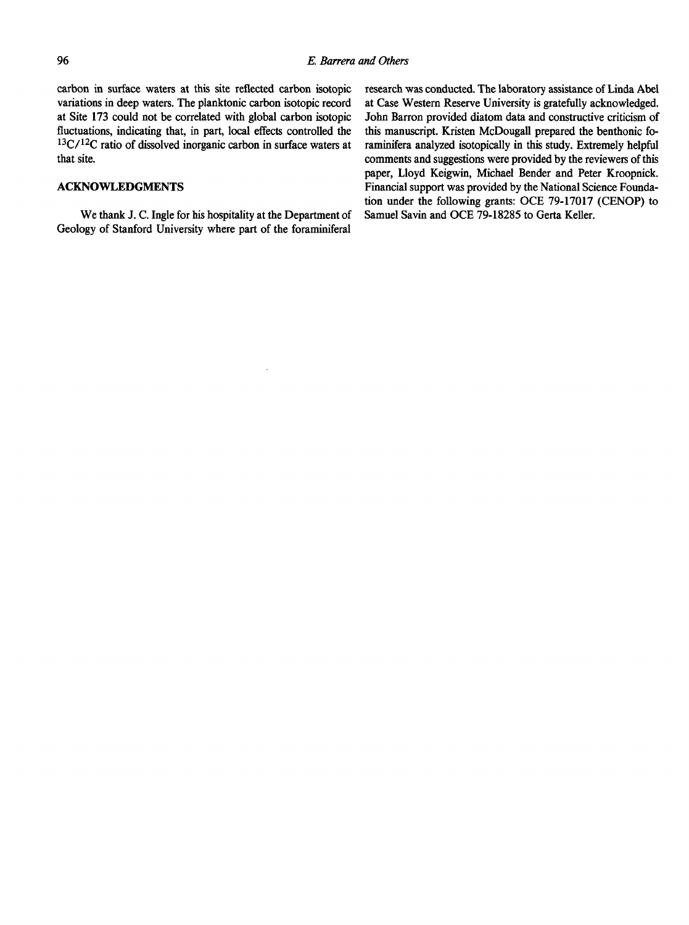carbon in surface waters at this site reflected carbon isotopic variations in deep waters. The planktonic carbon isotopic record at Site 173 could not be correlated with global carbon isotopic fluctuations, indicating that, in part, local effects controlled the <sup>13</sup>C/<sup>12</sup>C ratio of dissolved inorganic carbon in surface waters at that site.

#### **ACKNOWLEDGMENTS**

We thank J. C. Ingle for his hospitality at the Department of Geology of Stanford University where part of the foraminiferal

research was conducted. The laboratory assistance of Linda Abel at Case Western Reserve University is gratefully acknowledged. John Barron provided diatom data and constructive criticism of this manuscript. Kristen McDougall prepared the benthonic foraminifera analyzed isotopically in this study. Extremely helpful comments and suggestions were provided by the reviewers of this paper, Lloyd Keigwin, Michael Bender and Peter Kroopnick. Financial support was provided by the National Science Foundation under the following grants: OCE 79-17017 (CENOP) to Samuel Savin and OCE 79-18285 to Gerta Keller.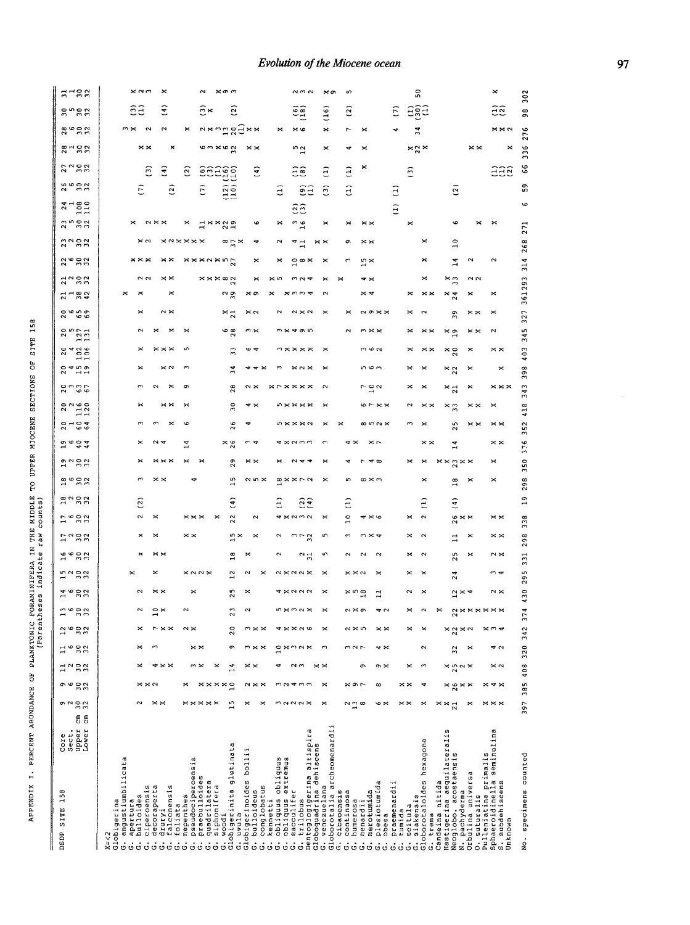# Evolution of the Miocene ocean

| 7722                                    | $\times$ $\sim$ $\sim$<br>×                                 | $\sim$<br>$x \circ \gamma$                                                                                                                                                                    |                                                                                                                                                                                                               | $\alpha$ $\sigma$ $\alpha$                         | $\times \sigma$                                    | m                                                                                       |                                   | 50                                                                                                       |                                                                             | $\approx$<br>302                                               |
|-----------------------------------------|-------------------------------------------------------------|-----------------------------------------------------------------------------------------------------------------------------------------------------------------------------------------------|---------------------------------------------------------------------------------------------------------------------------------------------------------------------------------------------------------------|----------------------------------------------------|----------------------------------------------------|-----------------------------------------------------------------------------------------|-----------------------------------|----------------------------------------------------------------------------------------------------------|-----------------------------------------------------------------------------|----------------------------------------------------------------|
| <b>2523</b>                             | Ξ<br>Ξã                                                     | $\ddot{m}$<br>ି                                                                                                                                                                               |                                                                                                                                                                                                               | စ်စ်<br>Ξ                                          | (16)                                               | $\overline{c}$                                                                          | ε                                 | aga                                                                                                      |                                                                             | 52<br>98                                                       |
| $8 - 82$                                | $m \times$<br>$\sim$<br>u                                   | nx ng gaxx<br>×                                                                                                                                                                               | $\approx$                                                                                                                                                                                                     | $\times$ $\circ$                                   | ×                                                  | ∼<br>×                                                                                  |                                   | $\overline{\mathbf{5}}$                                                                                  |                                                                             | $\times\times\sim$<br>276                                      |
| 312.3                                   | ××<br>×                                                     |                                                                                                                                                                                               | ××                                                                                                                                                                                                            | 10 U                                               | ×                                                  | ¢<br>×                                                                                  |                                   | $\mathbb{1}^{\times}$                                                                                    | $\times\times$                                                              | ×<br>336                                                       |
| 2722                                    | $\hat{\mathbf{f}}$<br>$\widehat{c}$                         | esagg<br>$\bar{\mathbf{e}}$                                                                                                                                                                   | $\hat{a}$                                                                                                                                                                                                     | Ξê                                                 | $\widehat{a}$                                      | ×<br>$\widehat{a}$                                                                      | ි                                 |                                                                                                          |                                                                             | 66<br>999                                                      |
| <b>26622</b>                            | ε<br>$\overline{5}$                                         | $\begin{pmatrix} 1 & 2 \\ 1 & 0 \end{pmatrix}$<br>$\widehat{E}$                                                                                                                               | Э                                                                                                                                                                                                             | $\widehat{e}$                                      | $\widehat{c}$                                      | $\widehat{c}$                                                                           | ਤ                                 | ି                                                                                                        |                                                                             | S                                                              |
| $7 - 22$                                |                                                             |                                                                                                                                                                                               |                                                                                                                                                                                                               | $\widetilde{\mathfrak{c}}\widetilde{\mathfrak{c}}$ |                                                    |                                                                                         | $\widehat{z}$                     |                                                                                                          |                                                                             |                                                                |
| 2523                                    | $\sim \times \times$<br>×                                   | $1 \times 20$<br>×                                                                                                                                                                            | e<br>×                                                                                                                                                                                                        | $\frac{3}{16}$                                     | ×                                                  | $\times$ $\times$<br>×                                                                  | $\asymp$                          | G                                                                                                        | ×                                                                           | ×<br>271                                                       |
| 2223                                    |                                                             | <b>xaxxxx</b><br>$\infty$ $\approx$ $\times$                                                                                                                                                  | N                                                                                                                                                                                                             | $\rightarrow$                                      | $\times\times$                                     | ō<br>$\times\times$                                                                     |                                   | ×<br>$\overline{10}$                                                                                     |                                                                             | 268                                                            |
| 2892                                    | $\times\times\times$<br>$\times\times$                      | xxxaxng                                                                                                                                                                                       | ×<br>×                                                                                                                                                                                                        | $\vec{o} \cdot \vec{r}$                            | ×                                                  | r<br>$15 \times$                                                                        |                                   | ×<br>្មី                                                                                                 | N                                                                           | 314<br>N                                                       |
| 71982                                   | ິ<br>$\times\times$                                         | $x \times x \otimes N$                                                                                                                                                                        | $\mathbf{\mathbf{z}}$                                                                                                                                                                                         |                                                    |                                                    | ። ኦ                                                                                     |                                   | ×ຕ<br>×                                                                                                  | $\sim$ $\sim$                                                               | 361293                                                         |
| $7 - 22$                                |                                                             | $\frac{2}{3}$                                                                                                                                                                                 | ≫ ∽                                                                                                                                                                                                           |                                                    |                                                    | × ⊲                                                                                     | ×                                 | $\times\times$<br>$\frac{x}{2}$                                                                          | ×                                                                           | ×                                                              |
| 2009                                    | $\sim\times$<br>×                                           | $\frac{1}{2}$                                                                                                                                                                                 | $\approx$ $\sim$                                                                                                                                                                                              | $\sim$ $\times$ $\sim$                             |                                                    | $\sim$ $\sim$ $\times$<br>×                                                             | ×                                 | $\sim$<br>$\overline{3}$                                                                                 | $\times\times$                                                              | 327<br>×                                                       |
| $\overline{a}$                          | $\sim$                                                      | $\frac{6}{28}$<br>×                                                                                                                                                                           | ຕ×                                                                                                                                                                                                            | <b>™≍ ≄ ക i</b> n                                  |                                                    | $\sim$<br>∞××                                                                           |                                   | × ত<br>$\times\times$                                                                                    | ××                                                                          | 345<br>$\sim$                                                  |
| $2426$<br>$106$                         | $\times\times$                                              | $\overline{3}$                                                                                                                                                                                |                                                                                                                                                                                                               |                                                    |                                                    | m v ri                                                                                  |                                   | $\times\frac{8}{2}$                                                                                      | ×                                                                           | 403<br>$\times$ $\times$                                       |
| 20450                                   | ×<br>$\times$ $\sim$                                        | 24                                                                                                                                                                                            | 44 X<br>r                                                                                                                                                                                                     | $\times \sim \times$                               | ×                                                  | ი დო                                                                                    | ×                                 | $\pmb{\times}$<br>$\frac{x}{22}$                                                                         | ×                                                                           | 398<br>×                                                       |
| <b>0 wwr</b><br>$\circ \circ$<br>$\sim$ | $\sim$<br>$\boldsymbol{\times}$                             | $\frac{8}{2}$<br>ᢦ                                                                                                                                                                            | $\sim$ $\times$                                                                                                                                                                                               | <b>xrxxxx</b>                                      | $\sim$                                             | $\sim$ 0 $\sim$                                                                         | ×                                 | $\times\frac{1}{2}$<br>×                                                                                 | ×                                                                           | 343<br>$\times\times\times$                                    |
| $2020$<br>$1120$                        | $\times\times$                                              | ສ                                                                                                                                                                                             | ⇔ ≍                                                                                                                                                                                                           | $\mathbb{R} \times \mathbb{X} \times \mathbb{X}$   | $\times$                                           | $6 \times 8$                                                                            |                                   | $\times\frac{8}{13}$                                                                                     | ××                                                                          | 418<br>×                                                       |
| $2 - 24$<br>غە<br>$\sim$                | ×                                                           | $\frac{6}{2}$                                                                                                                                                                                 | ۰                                                                                                                                                                                                             | <b>5%××2</b>                                       | $\mathbf{\times}$<br>×                             | $\infty$ in $\sim \infty$                                                               |                                   | S<br>$\times$                                                                                            | ××                                                                          | $\overline{5}$<br>$\times\times$<br>ς                          |
| <b>De de de</b>                         | $\sim$ 4                                                    | $\frac{8}{2}$<br>$\overline{1}$                                                                                                                                                               |                                                                                                                                                                                                               | $x \sim 0$                                         | S                                                  | 4<br>× r                                                                                |                                   | $\times\times$<br>$\overline{1}$                                                                         |                                                                             | $\,\times$ $\,\times$<br>376                                   |
| $2^{\circ}$ $\frac{2}{2}$ $\frac{2}{2}$ | $\times\times\times$                                        | 29<br>×<br>×                                                                                                                                                                                  | ××                                                                                                                                                                                                            | $\sim$ $\sim$                                      |                                                    | ক ∞                                                                                     | ×                                 | $x \times y \times x$                                                                                    |                                                                             | 350<br>×                                                       |
| 26023                                   |                                                             | <b>SC</b>                                                                                                                                                                                     | ี ~ ×                                                                                                                                                                                                         | <b>∞××r~</b>                                       |                                                    | m<br>∞×∾                                                                                |                                   | ×<br>$\overline{18}$                                                                                     | ×                                                                           | 298<br>$\mathbf{\times}$                                       |
| 2223                                    | (2)                                                         | 5                                                                                                                                                                                             | đ                                                                                                                                                                                                             | $\begin{pmatrix} 2 \\ 4 \end{pmatrix}$             |                                                    | $\widehat{z}$                                                                           |                                   | $\left(4\right)$<br>Ξ                                                                                    |                                                                             | $\frac{9}{1}$                                                  |
| <b>1</b> 6 2 3                          | 2<br>$\mathbf{\times}$                                      | 22<br>$\times\times\times$<br>×                                                                                                                                                               | $\sim$                                                                                                                                                                                                        | <b>4 × 2 3 2</b>                                   | $\mathbf{\times}$                                  | $\overline{10}$<br>$4\times$ P                                                          | ×                                 | $\sim$                                                                                                   | $\frac{6}{8} \times \times$                                                 | $\times\times$<br>338                                          |
| 17282                                   | ×                                                           | $\times\times$<br>$\sim$ $\times$<br>H                                                                                                                                                        | ×<br>N                                                                                                                                                                                                        | $m - 2$                                            | m                                                  | S<br>$m \times d$                                                                       | ×                                 | $\sim$                                                                                                   | ×                                                                           | 298<br>$\Join \Join$                                           |
| <b>16622</b>                            | $\times\times$<br>×                                         | $\infty$                                                                                                                                                                                      | ×<br>$\mathbf{\Omega}$                                                                                                                                                                                        | $\frac{2}{3}$                                      | ഗ                                                  | $\sim$<br>$\sim$<br>$\sim$                                                              | ×                                 | m<br>$\sim$<br>Z                                                                                         | ×                                                                           | $\frac{1}{2}$<br>$\sim \times$                                 |
| <b>1222</b>                             | ×                                                           | $\times$ $\sim$ $\sim$ $\times$<br>$^{12}$                                                                                                                                                    | $\mathbf{\mathsf{N}}$                                                                                                                                                                                         | <b>2x02x</b>                                       |                                                    | $\times\times\sim$<br>×                                                                 |                                   | $\,\mathsf{x}\,$<br>$\overline{24}$                                                                      |                                                                             | S<br>∾ 4<br>29                                                 |
| 16023                                   | $\times\times$                                              | S<br>$\sim$                                                                                                                                                                                   | ×                                                                                                                                                                                                             | <b>4 x a a a</b>                                   |                                                    | $\times 100$<br>∄                                                                       |                                   | ×                                                                                                        | $2 \times 4$                                                                | 430<br>$\sim$ $\times$                                         |
| 2023                                    |                                                             | $\sim$                                                                                                                                                                                        |                                                                                                                                                                                                               | <b>ち×32×</b>                                       |                                                    | $\sim \times \sigma$                                                                    |                                   |                                                                                                          | <b>axxxxxx</b>                                                              | 4<br>$\frac{1}{2}$                                             |
| 2623                                    | $\sim \times \times$<br>×                                   | $\sim$ $\times$<br>20                                                                                                                                                                         | $\sim\times\times$                                                                                                                                                                                            | <b>4××26</b>                                       | $\mathbf{\mathbf{x}}$                              | $\sim \times \infty$<br>$\times\times$                                                  | ×                                 | ×                                                                                                        | $x \frac{a}{2} \times a$                                                    | 397 385 408 320 342<br>$\times \sim$                           |
| $\Xi$ $_{\odot}$<br>32                  | $\times$<br>3                                               | $\times$ $\times$<br>G                                                                                                                                                                        | $m \times \times$<br>$\circ$<br>$\,\times\,$                                                                                                                                                                  | $\sim$ $\sim$ $\times$                             | $\mathbf{C}$                                       | $m \sim r$<br>$\sim$ $\times$                                                           |                                   | $\sim$<br>$\overline{3}$                                                                                 | $\mathbf{\times}$                                                           | 42                                                             |
| 1, 8, 2                                 | $\times\times$<br>×<br>4                                    | 14<br>$m \times$<br>×                                                                                                                                                                         | $\times$ $\times$<br>4                                                                                                                                                                                        | $\times$ $\times$<br>$\sim$ $\sim$                 |                                                    | ๛<br>$\circ$ $\times$                                                                   | $\mathbf{\times}$                 | m                                                                                                        | $\times 5$ $\times 5$                                                       | $\approx \infty$                                               |
| $32^{0}$<br>م ن                         | $x \times 2$                                                | ×<br>$\times\times\times\times\circ$                                                                                                                                                          | $\sim \times \times$<br>$m_{\alpha}$                                                                                                                                                                          | $P^{\prime}$                                       | $\boldsymbol{\times}$                              | $\times$ $\circ$ $\sim$<br>$\infty$                                                     | $\times\times$                    | $\times\frac{8}{2}$<br>₹                                                                                 | $\times\times$                                                              | $\times$ $\sim$ $\times$                                       |
| 9980                                    | $\sim$<br>$\times\times$                                    | $\times\times\times\times$<br>$\overline{15}$                                                                                                                                                 | ×<br>×                                                                                                                                                                                                        | $M$ $N$ $N$ $N$                                    | ×                                                  | $\frac{25}{10}$<br>ত ×                                                                  | $\times\times$                    | ×<br>×<br>$rac{x}{21}$                                                                                   | ×                                                                           | $\times\times\times$                                           |
| 5<br>$5^{\circ}$                        |                                                             |                                                                                                                                                                                               |                                                                                                                                                                                                               |                                                    |                                                    |                                                                                         |                                   |                                                                                                          |                                                                             |                                                                |
| Upper<br>Lower<br>Sect.<br>Core         |                                                             |                                                                                                                                                                                               |                                                                                                                                                                                                               |                                                    |                                                    |                                                                                         |                                   |                                                                                                          |                                                                             |                                                                |
|                                         |                                                             |                                                                                                                                                                                               |                                                                                                                                                                                                               |                                                    |                                                    |                                                                                         |                                   |                                                                                                          |                                                                             |                                                                |
|                                         |                                                             |                                                                                                                                                                                               |                                                                                                                                                                                                               |                                                    |                                                    |                                                                                         |                                   |                                                                                                          |                                                                             |                                                                |
| 158                                     |                                                             |                                                                                                                                                                                               |                                                                                                                                                                                                               |                                                    |                                                    |                                                                                         |                                   |                                                                                                          |                                                                             |                                                                |
| <b>STTE</b>                             | angustiumbilicata<br>apertura                               |                                                                                                                                                                                               |                                                                                                                                                                                                               |                                                    | cibaoensis                                         | plesiotumida<br>continuosa<br>merotumida<br>humerosa<br>menardii<br>obesa               | praemenardii<br>scitula<br>tumida | siakensis<br>trema                                                                                       |                                                                             | . subdehiscens                                                 |
| <b>DSDP</b>                             | Globigerina<br>$x = < 2$<br>$\ddot{\circ}$<br>$\dot{\circ}$ | G. bhliodes<br>C. diperoensis<br>C. dirryleres<br>C. dirryleres<br>C. dirryleres<br>C. diperoensis<br>C. praetilides<br>C. quadrilidera<br>C. siphonifera<br>C. siphonifera<br>C. siphonifera | Globigerinoides bollil<br>G. bulloideus<br>G. complobatus<br>G. coniquus obliquus<br>G. obliquus extremus<br>G. colliquus extremus<br>G. trilobus<br>Pentoglogigerina altispira<br>Dentoglogigerina altispira | Globoquadrina dehiscens<br>G. venezuelana          | Globorotalia archeomenardii<br>Ġ.<br>$\dot{\circ}$ | $\ddot{o}$ $\ddot{o}$ $\ddot{o}$ $\ddot{o}$ $\ddot{o}$ $\ddot{o}$ $\ddot{o}$ $\ddot{o}$ |                                   | Hastigerina aeguilateralis<br>Globorotaloides hexagona<br>Neoglobo. acostaensis<br>Candeina nitida<br>ું | Pulleniatina primalis<br>Orbulina universa<br>N. pachyderma<br>O. suturalis | Sphaeroidinella seminulina<br>No. specimens counted<br>Unknown |
|                                         |                                                             |                                                                                                                                                                                               |                                                                                                                                                                                                               |                                                    |                                                    |                                                                                         |                                   |                                                                                                          |                                                                             | S                                                              |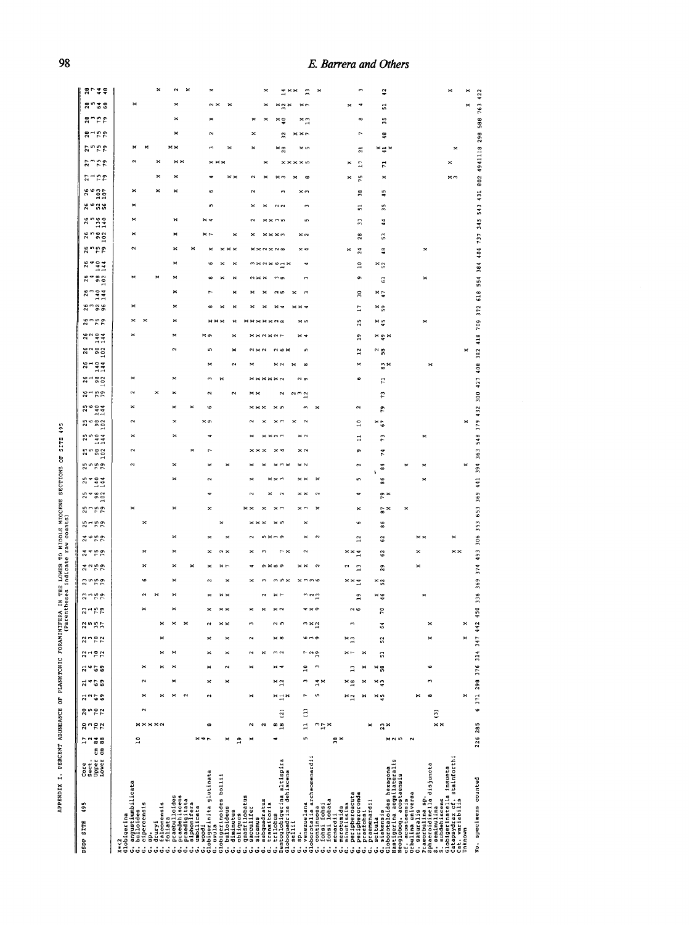| <b>TITE IN NIN.</b><br><b>THE BURGER IN THE BURGER OF A</b><br>.<br>.<br>.<br>.       | s indicate raw counts)<br>.<br>.<br>. |
|---------------------------------------------------------------------------------------|---------------------------------------|
| ֧֧֧֧֧֧֧֧֧֧֧֧֧֧֧֚֚֚֚֚֚֚֚֚֚֚֚֚֝֝֝֝֝֝֬֝֓֕֓֝֬֝֓֝֬֝֓֝֬֝֬֝֓֝֬֝֓֝֬֝֬֝֓֝֬֝֬֝֬֝֬֝֬֝֬֝֬֝֬֝֬֝֬֝֬ |                                       |
|                                                                                       |                                       |
|                                                                                       |                                       |
|                                                                                       |                                       |
|                                                                                       |                                       |

| 495<br><b>DSDP SITE</b>                                                                                                                                                                                                                                   | 6 8<br><b>Upper</b><br>ISWer<br>Sect.<br>Core | ដឹងដ<br><b>758</b>                                  | 2522           | ដួតទទ                              | ನ*ಾ                     | $27 - 22$<br>ನ " ಒಂ  | 2722                                                             | 2557           | $3 - 52$ | 2355 | 2155       | 2450<br>3750                    | 2492                           | 2572 | $25 - 59$              | $254$<br>$982$<br>$102$ | 2552<br>25<br>2404<br>144  | $258$<br>$982$   | 25<br>2444<br>244 | 2582             | 25004      | $26 - 79$            | $3 - 82$                | $2882$<br>$902$<br>$3404$<br>$144$ | $26$<br>$140$<br>$144$ | 26750                 | 80.88   | $\frac{80004}{144}$ | 8482                            | $\frac{84}{34}$     | 8002<br>2525                          | $260$<br>$140$<br>$140$                         | <b>2525</b> | $\begin{array}{c}\n 26 \\ \hline\n 0 \\ 107 \\ \hline\n 107\n \end{array}$ | 2772        | 27.59<br>2, 1, 5, 6                         | $3 - 50$                            | 8758 | 8528            | 8 L 4 8 |
|-----------------------------------------------------------------------------------------------------------------------------------------------------------------------------------------------------------------------------------------------------------|-----------------------------------------------|-----------------------------------------------------|----------------|------------------------------------|-------------------------|----------------------|------------------------------------------------------------------|----------------|----------|------|------------|---------------------------------|--------------------------------|------|------------------------|-------------------------|----------------------------|------------------|-------------------|------------------|------------|----------------------|-------------------------|------------------------------------|------------------------|-----------------------|---------|---------------------|---------------------------------|---------------------|---------------------------------------|-------------------------------------------------|-------------|----------------------------------------------------------------------------|-------------|---------------------------------------------|-------------------------------------|------|-----------------|---------|
| K=<2<br>Slobigerina                                                                                                                                                                                                                                       |                                               | <b>****</b> *<br>$\overline{a}$                     | $\sim$         | $\mathbf{\times}$                  | $\sim$                  | $\pmb{\times}$       |                                                                  |                |          |      |            |                                 |                                | ×    | ×                      |                         |                            |                  |                   | $\mathbf \Omega$ |            |                      |                         |                                    |                        |                       |         |                     | ×                               |                     |                                       |                                                 |             | ×                                                                          |             |                                             |                                     |      | ×               |         |
|                                                                                                                                                                                                                                                           |                                               |                                                     |                | $\times$<br>$\mathbf{z}$<br>$\sim$ | $\mathbf{\mathbf{z}}$   | ×                    | ×<br>×                                                           |                |          |      | ×          |                                 | ×                              |      | $\mathbf{\mathbf{X}}$  |                         |                            |                  | ×                 | ×                | ×          |                      |                         |                                    |                        |                       |         |                     | ×                               |                     |                                       | ×                                               |             |                                                                            | $\mathbf x$ |                                             | $\boldsymbol{\times}$               |      |                 |         |
|                                                                                                                                                                                                                                                           |                                               | œ<br>×<br>۾                                         |                | $\mathbf{\hat{z}}$                 | $\times$<br>$\mathbf x$ | ×<br>$\sim$          | $\mathbf{\mathbf{x}}$<br>×<br>$\mathbf{x}$<br>×                  |                |          |      |            |                                 |                                | ×    |                        |                         |                            |                  |                   | $\times$ on      | ١o         | $\sim$<br>N          |                         |                                    |                        |                       |         |                     |                                 |                     |                                       | ×ч<br>×                                         |             |                                                                            |             | $\times\times\times$                        | $\sim$<br>×<br>$\mathbf{\tilde{z}}$ |      |                 |         |
| G, angustiumblikota<br>d, angustiumblikota<br>d, directors as<br>d, directors as<br>d, d, and a straighter as<br>d, d, and a straighter as<br>d, d, and a straighter as<br>d, and a straighter as<br>d, and a straighter as boulifus<br>d, and a straight |                                               | $\sim$<br>$\frac{8}{18}$<br>$\mathbf{\hat{z}}$<br>× | $\overline{c}$ | ×<br>$\times \square \times$       | × 2                     | ×<br>× -             | $\times$ $\infty$<br>m <sub>2</sub><br>$\mathbf{\tilde{c}}$<br>× | n <sub>n</sub> |          |      |            |                                 |                                |      | ×m                     | $\sim$<br>$\sim$        |                            |                  |                   |                  | $\times$ v | $\mathbf{\tilde{c}}$ | <b>******</b>           | $\approx \infty$                   |                        | $x \times x \times y$ |         | ິ                   | m o<br>$\sim$ $\times$ $\times$ | <sup>m×</sup> N×ゅコ× |                                       |                                                 | $N$ $N$     |                                                                            |             | × 8<br>×<br>$* \times \times \times \infty$ | ×<br>$\tilde{z}$<br>×               | ×≘   |                 |         |
|                                                                                                                                                                                                                                                           |                                               | $\mathbf{r}$<br>$\frac{1}{2}x$<br>S<br>¤្ក×         | $\Xi$          | r<br>S                             | S<br>۳×<br>س            | ີ<br>$\overline{10}$ | m o<br>٠                                                         | n × a          |          |      |            |                                 | $\geq$<br>$\ddot{\phantom{0}}$ | ×    | $\times$ m             | $\times$ $\times$       | $\times\times$             | $\approx$ $\sim$ | $\times$ $\sim$   | $\sim$           |            | 222                  | N <sub>o</sub>          | $\infty$                           |                        | × ư                   |         |                     |                                 |                     |                                       | S<br>× o                                        |             |                                                                            |             | × n                                         | $\times\times\sim$                  | ×n   |                 |         |
|                                                                                                                                                                                                                                                           |                                               | ×                                                   |                | פ<br>×                             | ×≌<br>×                 | $\overline{1}$<br>×  | פ<br>×r<br>$\boldsymbol{\times}$                                 |                |          | ግ    | ××r        | ××≍<br>Ξ                        | $\overline{a}$                 | ١¢   | ×                      |                         | ı٨                         | o<br>$\sim$      | H                 | $\overline{10}$  | N          |                      | ۰                       | $\overline{a}$<br>×                | 29                     | 25                    | Ξ       | 50                  | ō                               | $\overline{a}$      | $\frac{8}{2}$<br>×<br>$\overline{24}$ | ።                                               | 긂           | $\frac{8}{2}$                                                              | ŗ           | ដ<br>r,                                     |                                     | œ    |                 |         |
| Rastigerina aeguilateralis<br>Neoglobog. acostaensis<br>Orbulina universa<br>cf. acostaensis                                                                                                                                                              |                                               | $23 \times$<br>$M$ $N$ $M$<br>$\sim$                |                | × 5                                | ׺                       | Ľ,<br>× 58           | 52                                                               | 3              | ē        | × ş  | × s        | $\mathbb{S}^2$<br>$\frac{9}{2}$ | $\mathbf{\hat{S}}$             | 86   | $\frac{6}{9}$ $\times$ | r×                      | $\frac{4}{3}$<br>$\bf{86}$ | 74<br>×          | 73                | $\frac{8}{6}$    | ድ          | 2                    | 11                      | $\degree$ 58<br>a×                 | ׺×                     | × ÷                   | × ្ល    | ×ç                  | ರ                               | $\times\frac{5}{2}$ | 3<br>48                               | 44                                              | 55          | 45                                                                         | ×           | ׺×<br>$\mathbf{r}$                          | \$                                  | 35   | 5               | ុ       |
| slobigerinatella insueta<br>Catapsydrax cf. stainforthi<br>Cat. variabilis<br>Praeorbulina sp.<br>Sphaeroidinella disjuncta<br>5. subdehiscens<br>S. seminulina<br>0. saturalis                                                                           |                                               | $\times$ $\times$                                   | ි              | $\infty$<br>×                      | r                       | e                    | ×                                                                |                |          |      |            |                                 | ××                             |      |                        |                         |                            |                  |                   |                  |            |                      |                         |                                    |                        | ×                     |         |                     | ×                               |                     |                                       |                                                 |             |                                                                            |             | ×                                           |                                     |      |                 |         |
| No. specimens counted<br>Unknown                                                                                                                                                                                                                          |                                               | 226 285                                             |                | 6 371 298 376 314 347 442<br>×     |                         |                      | ×                                                                | ×              | SO<br>F  | 338  | 374<br>369 | 493                             | 306                            | 353  | 653 369 441 394 363    |                         |                            |                  |                   | ×                |            |                      | 548 379 432 300 427 408 | 382                                | 418                    | 709                   | 372 618 |                     | 554                             |                     |                                       | 384 404 737 345 543 431 802 4941118 298 588 763 |             |                                                                            |             |                                             |                                     |      | $\ddot{a}$<br>× |         |

# **<sup>8</sup>***E. Barrera and Others*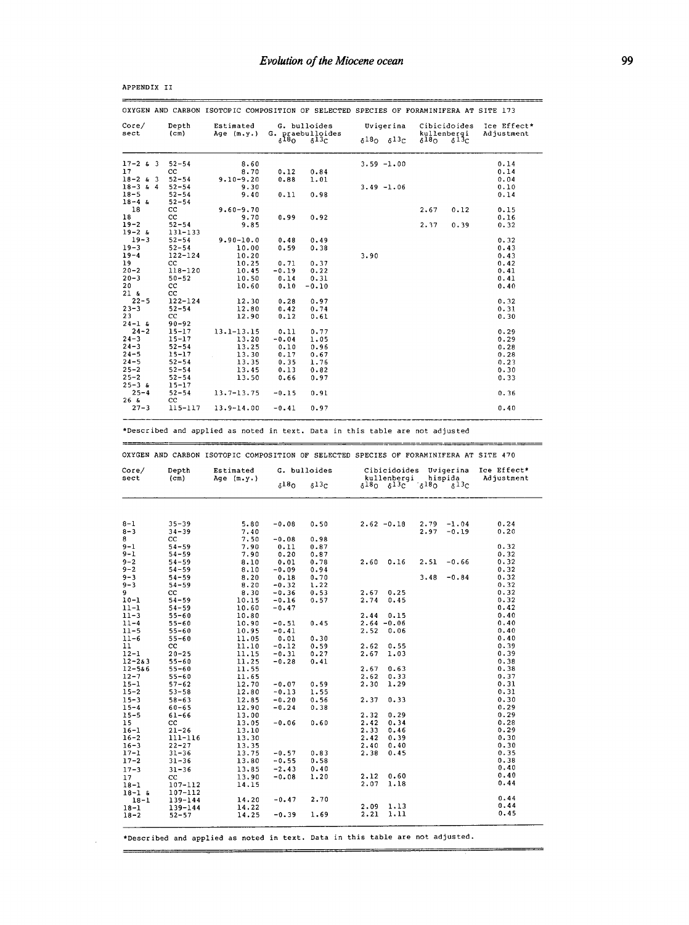| OXYGEN AND CARBON ISOTOPIC COMPOSITION OF SELECTED SPECIES OF FORAMINIFERA AT SITE 173                                                                                                                                                                                                                                                                                                                                      |                            |                         |                          |                                |                                                                                                                                                                        |                 |                                        |                           |
|-----------------------------------------------------------------------------------------------------------------------------------------------------------------------------------------------------------------------------------------------------------------------------------------------------------------------------------------------------------------------------------------------------------------------------|----------------------------|-------------------------|--------------------------|--------------------------------|------------------------------------------------------------------------------------------------------------------------------------------------------------------------|-----------------|----------------------------------------|---------------------------|
| $\csc$<br>sect                                                                                                                                                                                                                                                                                                                                                                                                              | Depth<br>(c <sub>m</sub> ) | Estimated<br>Age (m.y.) | G.                       | G. bulloides<br>praebulloides  | Uvigerina                                                                                                                                                              |                 | Cibicidoides<br>kullenbergi            | Ice Effect*<br>Adjustment |
|                                                                                                                                                                                                                                                                                                                                                                                                                             |                            |                         | $6^{18}$ O               | 813C                           | $\delta^{18}$ O<br>$\delta^{13}$ C                                                                                                                                     | $\delta^{18}$ O | 813c                                   |                           |
| $17 - 263$                                                                                                                                                                                                                                                                                                                                                                                                                  | $52 - 54$                  | 8.60                    |                          |                                | $3.59 - 1.00$                                                                                                                                                          |                 |                                        | 0.14                      |
| 17<br>$18 - 2$ & 3                                                                                                                                                                                                                                                                                                                                                                                                          | cc<br>$52 - 54$            | 8.70<br>$9.10 - 9.20$   | 0.12<br>0.88             | 0.84                           |                                                                                                                                                                        |                 |                                        | 0.14                      |
| $18 - 3$ & 4                                                                                                                                                                                                                                                                                                                                                                                                                | $52 - 54$                  | 9.30                    |                          | 1.01                           | $3.49 - 1.06$                                                                                                                                                          |                 |                                        | 0.04<br>0.10              |
| $18 - 5$                                                                                                                                                                                                                                                                                                                                                                                                                    | $52 - 54$                  | 9.40                    | 0.11                     | 0.98                           |                                                                                                                                                                        |                 |                                        | 0.14                      |
| $18 - 4$ &                                                                                                                                                                                                                                                                                                                                                                                                                  | $52 - 54$                  |                         |                          |                                |                                                                                                                                                                        |                 |                                        |                           |
| 18<br>18                                                                                                                                                                                                                                                                                                                                                                                                                    | cc<br>cc                   | $9.60 - 9.70$<br>9.70   | 0.99                     | 0.92                           |                                                                                                                                                                        | 2.67            | 0.12                                   | 0.15<br>0.16              |
| $19 - 2$                                                                                                                                                                                                                                                                                                                                                                                                                    | $52 - 54$                  | 9.85                    |                          |                                |                                                                                                                                                                        | 2.37            | 0.39                                   | 0.32                      |
| $19 - 2 &$                                                                                                                                                                                                                                                                                                                                                                                                                  | 131-133                    |                         |                          |                                |                                                                                                                                                                        |                 |                                        |                           |
| $19 - 3$                                                                                                                                                                                                                                                                                                                                                                                                                    | $52 - 54$                  | $9.90 - 10.0$           | 0.48                     | 0.49                           |                                                                                                                                                                        |                 |                                        | 0.32                      |
| $19 - 3$<br>$19 - 4$                                                                                                                                                                                                                                                                                                                                                                                                        | $52 - 54$<br>122-124       | 10.00<br>10.20          | 0.59                     | 0.38                           | 3.90                                                                                                                                                                   |                 |                                        | 0.43<br>0.43              |
| 19                                                                                                                                                                                                                                                                                                                                                                                                                          | cc                         | 10.25                   | 0.71                     | 0.37                           |                                                                                                                                                                        |                 |                                        | 0.42                      |
| $20 - 2$                                                                                                                                                                                                                                                                                                                                                                                                                    | 118-120                    | 10.45                   | $-0.19$                  | 0.22                           |                                                                                                                                                                        |                 |                                        | 0.41                      |
| $20 - 3$<br>20                                                                                                                                                                                                                                                                                                                                                                                                              | $50 - 52$<br>cc            | 10.50<br>10.60          | 0.14<br>0.10             | 0.31<br>$-0.10$                |                                                                                                                                                                        |                 |                                        | 0.41<br>0.40              |
| ة 21                                                                                                                                                                                                                                                                                                                                                                                                                        | cc                         |                         |                          |                                |                                                                                                                                                                        |                 |                                        |                           |
| $22 - 5$                                                                                                                                                                                                                                                                                                                                                                                                                    | $122 - 124$                | 12.30                   | 0.28                     | 0.97                           |                                                                                                                                                                        |                 |                                        | 0.32                      |
| $23 - 3$                                                                                                                                                                                                                                                                                                                                                                                                                    | $52 - 54$                  | 12.80                   | 0.42                     | 0.74                           |                                                                                                                                                                        |                 |                                        | 0.31                      |
| 23<br>$24 - 16$                                                                                                                                                                                                                                                                                                                                                                                                             | cc<br>$90 - 92$            | 12.90                   | 0.12                     | 0.61                           |                                                                                                                                                                        |                 |                                        | 0.30                      |
| $24 - 2$                                                                                                                                                                                                                                                                                                                                                                                                                    | $15 - 17$                  | 13.1-13.15              | 0.11                     | 0.77                           |                                                                                                                                                                        |                 |                                        | 0.29                      |
| $24 - 3$                                                                                                                                                                                                                                                                                                                                                                                                                    | $15 - 17$                  | 13.20                   | $-0.04$                  | 1.05                           |                                                                                                                                                                        |                 |                                        | 0.29                      |
| $24 - 3$                                                                                                                                                                                                                                                                                                                                                                                                                    | $52 - 54$                  | 13.25                   | 0.10                     | 0.96                           |                                                                                                                                                                        |                 |                                        | 0.28                      |
| $24 - 5$<br>$24 - 5$                                                                                                                                                                                                                                                                                                                                                                                                        | 15-17<br>$52 - 54$         | 13.30<br>13.35          | 0.17<br>0.35             | 0.67<br>1.76                   |                                                                                                                                                                        |                 |                                        | 0.28<br>0.23              |
| $25 - 2$                                                                                                                                                                                                                                                                                                                                                                                                                    | $52 - 54$                  | 13.45                   | 0.13                     | 0.82                           |                                                                                                                                                                        |                 |                                        | 0.30                      |
| $25 - 2$                                                                                                                                                                                                                                                                                                                                                                                                                    | $52 - 54$                  | 13.50                   | 0.66                     | 0.97                           |                                                                                                                                                                        |                 |                                        | 0.33                      |
| $25 - 36$                                                                                                                                                                                                                                                                                                                                                                                                                   | 15-17                      |                         |                          |                                |                                                                                                                                                                        |                 |                                        |                           |
| $25 - 4$<br>264                                                                                                                                                                                                                                                                                                                                                                                                             | $52 - 54$<br>cc            | $13.7 - 13.75$          | $-0.15$                  | 0.91                           |                                                                                                                                                                        |                 |                                        | 0.36                      |
| $27 - 3$                                                                                                                                                                                                                                                                                                                                                                                                                    | 115-117                    | $13.9 - 14.00$          | $-0.41$                  | 0.97                           |                                                                                                                                                                        |                 |                                        | 0.40                      |
|                                                                                                                                                                                                                                                                                                                                                                                                                             |                            |                         |                          |                                | *Described and applied as noted in text. Data in this table are not adjusted<br>OXYGEN AND CARBON ISOTOPIC COMPOSITION OF SELECTED SPECIES OF FORAMINIFERA AT SITE 470 |                 |                                        |                           |
|                                                                                                                                                                                                                                                                                                                                                                                                                             | Depth<br>(c <sub>m</sub> ) | Estimated<br>Age (m.y.) | $\delta$ <sup>18</sup> 0 | G. bulloides<br>$\delta^{13}C$ | Cibicidoides<br>kullenbergi<br>$\delta^{13}$ C<br>8180                                                                                                                 | $\delta^{18}$ O | Uvigerina<br>hispida<br>$\delta^{13}C$ | Ice Effect*<br>Adjustment |
|                                                                                                                                                                                                                                                                                                                                                                                                                             | $35 - 39$<br>34–39         | 5.80<br>7.40            | $-0.08$                  | 0.50                           | $2.62 - 0.18$                                                                                                                                                          | 2.79<br>2.97    | $-1.04$<br>$-0.19$                     | 0.24<br>0.20              |
|                                                                                                                                                                                                                                                                                                                                                                                                                             | cc<br>$54 - 59$            | 7.50<br>7.90            | $-0.08$<br>0.11          | 0.98<br>0.87                   |                                                                                                                                                                        |                 |                                        | 0.32                      |
|                                                                                                                                                                                                                                                                                                                                                                                                                             | $54 - 59$                  | 7.90                    | 0.20                     | 0.87                           |                                                                                                                                                                        |                 |                                        | 0.32                      |
|                                                                                                                                                                                                                                                                                                                                                                                                                             | $54 - 59$                  | 8.10                    | 0.01                     | 0.78                           | 2.60<br>0.16                                                                                                                                                           | 2.51            | $-0.66$                                | 0.32                      |
|                                                                                                                                                                                                                                                                                                                                                                                                                             | 54–59                      | 8.10<br>8.20            | -0.09                    | 0.94<br>0.70                   |                                                                                                                                                                        | 3.48            | $-0.84$                                | 0.32                      |
|                                                                                                                                                                                                                                                                                                                                                                                                                             | 54-59<br>$54 - 59$         | 8.20                    | 0.18<br>-0.32            | 1.22                           |                                                                                                                                                                        |                 |                                        | 0.32<br>0.32              |
|                                                                                                                                                                                                                                                                                                                                                                                                                             | cc                         | 8.30                    | $-0.36$                  | 0.53                           | 2.67<br>0.25                                                                                                                                                           |                 |                                        | 0.32                      |
|                                                                                                                                                                                                                                                                                                                                                                                                                             | $54 - 59$                  | 10.15                   | $-0.16$                  | 0.57                           | 2.74<br>0.45                                                                                                                                                           |                 |                                        | 0.32                      |
|                                                                                                                                                                                                                                                                                                                                                                                                                             | 54-59<br>$55 - 60$         | 10.60<br>10.80          | $-0.47$                  |                                | 2.44<br>0.15                                                                                                                                                           |                 |                                        | 0.42<br>0.40              |
|                                                                                                                                                                                                                                                                                                                                                                                                                             | $55 - 60$                  | 10.90                   | $-0.51$                  | 0.45                           | $2.64 - 0.06$                                                                                                                                                          |                 |                                        | 0.40                      |
|                                                                                                                                                                                                                                                                                                                                                                                                                             | 55–60                      | 10.95                   | $-0.41$                  |                                | 2.52<br>0.06                                                                                                                                                           |                 |                                        | 0.40                      |
|                                                                                                                                                                                                                                                                                                                                                                                                                             | $55 - 60$                  | 11.05                   | 0.01                     | 0.30                           | 0.55                                                                                                                                                                   |                 |                                        | 0.40                      |
|                                                                                                                                                                                                                                                                                                                                                                                                                             | cc<br>$20 - 25$            | 11.10<br>11.15          | $-0.12$<br>$-0.31$       | 0.59<br>0.27                   | 2.62<br>2.67<br>1.03                                                                                                                                                   |                 |                                        | 0.39<br>0.39              |
|                                                                                                                                                                                                                                                                                                                                                                                                                             | $55 - 60$                  | 11.25                   | $-0.28$                  | 0.41                           |                                                                                                                                                                        |                 |                                        | 0.38                      |
|                                                                                                                                                                                                                                                                                                                                                                                                                             | $55 - 60$                  | 11.55                   |                          |                                | 2.67<br>0.63                                                                                                                                                           |                 |                                        | 0.38                      |
|                                                                                                                                                                                                                                                                                                                                                                                                                             | $55 - 60$                  | 11.65                   |                          | 0.59                           | 2.62<br>0.33                                                                                                                                                           |                 |                                        | 0.37                      |
|                                                                                                                                                                                                                                                                                                                                                                                                                             | 57-62<br>$53 - 58$         | 12.70<br>12.80          | $-0.07$<br>$-0.13$       | 1.55                           | 1.29<br>2.30                                                                                                                                                           |                 |                                        | 0.31<br>0.31              |
|                                                                                                                                                                                                                                                                                                                                                                                                                             | $58 - 63$                  | 12.85                   | $-0.20$                  | 0.56                           | 0.33<br>2.37                                                                                                                                                           |                 |                                        | 0.30                      |
|                                                                                                                                                                                                                                                                                                                                                                                                                             | $60 - 65$                  | 12.90                   | $-0.24$                  | 0.38                           |                                                                                                                                                                        |                 |                                        | 0.29                      |
|                                                                                                                                                                                                                                                                                                                                                                                                                             | $61 - 66$                  | 13.00                   |                          |                                | 0.29<br>2.32                                                                                                                                                           |                 |                                        | 0.29                      |
|                                                                                                                                                                                                                                                                                                                                                                                                                             | cc<br>$21 - 26$            | 13.05<br>13.10          | $-0.06$                  | 0.60                           | 2.42<br>0.34<br>2.33<br>0.46                                                                                                                                           |                 |                                        | 0.28<br>0.29              |
|                                                                                                                                                                                                                                                                                                                                                                                                                             | 111-116                    | 13.30                   |                          |                                | 2.42<br>0.39                                                                                                                                                           |                 |                                        | 0.30                      |
|                                                                                                                                                                                                                                                                                                                                                                                                                             | $22 - 27$                  | 13.35                   |                          |                                | 0.40<br>2.40                                                                                                                                                           |                 |                                        | 0.30                      |
|                                                                                                                                                                                                                                                                                                                                                                                                                             | $31 - 36$                  | 13.75                   | $-0.57$                  | 0.83                           | 2.38<br>0.45                                                                                                                                                           |                 |                                        | 0.35                      |
|                                                                                                                                                                                                                                                                                                                                                                                                                             | $31 - 36$                  | 13.80                   | $-0.55$                  | 0.58                           |                                                                                                                                                                        |                 |                                        | 0.38<br>0.40              |
|                                                                                                                                                                                                                                                                                                                                                                                                                             | $31 - 36$<br>cc            | 13.85<br>13.90          | $-2.43$<br>$-0.08$       | 0.40<br>1.20                   | 2.12<br>0.60                                                                                                                                                           |                 |                                        | 0.40                      |
|                                                                                                                                                                                                                                                                                                                                                                                                                             | 107-112                    | 14.15                   |                          |                                | 2.07<br>1.18                                                                                                                                                           |                 |                                        | 0.44                      |
|                                                                                                                                                                                                                                                                                                                                                                                                                             | 107-112                    |                         |                          |                                |                                                                                                                                                                        |                 |                                        |                           |
| Core/<br>sect<br>8-1<br>$8 - 3$<br>8<br>9-1<br>$9 - 1$<br>$9 - 2$<br>$9 - 2$<br>9–3<br>$9 - 3$<br>9<br>$10 - 1$<br>11-1<br>11-3<br>$11 - 4$<br>$11 - 5$<br>$11 - 6$<br>11<br>$12 - 1$<br>$12 - 283$<br>$12 - 586$<br>$12 - 7$<br>$15 - 1$<br>$15 - 2$<br>$15 - 3$<br>$15 - 4$<br>$15 - 5$<br>15<br>$16 - 1$<br>$16 - 2$<br>$16 - 3$<br>$17 - 1$<br>$17 - 2$<br>$17 - 3$<br>17<br>$18 - 1$<br>$18 - 1$ &<br>18-1<br>$18 - 1$ | 139-144<br>$139 - 144$     | 14.20<br>14.22          | $-0.47$                  | 2.70                           | 1.13<br>2.09                                                                                                                                                           |                 |                                        | 0.44<br>0.44<br>0.45      |

|  | APPENDIX II |  |  |
|--|-------------|--|--|
|--|-------------|--|--|

 $\overline{\phantom{a}}$ 

 $\equiv$ 

=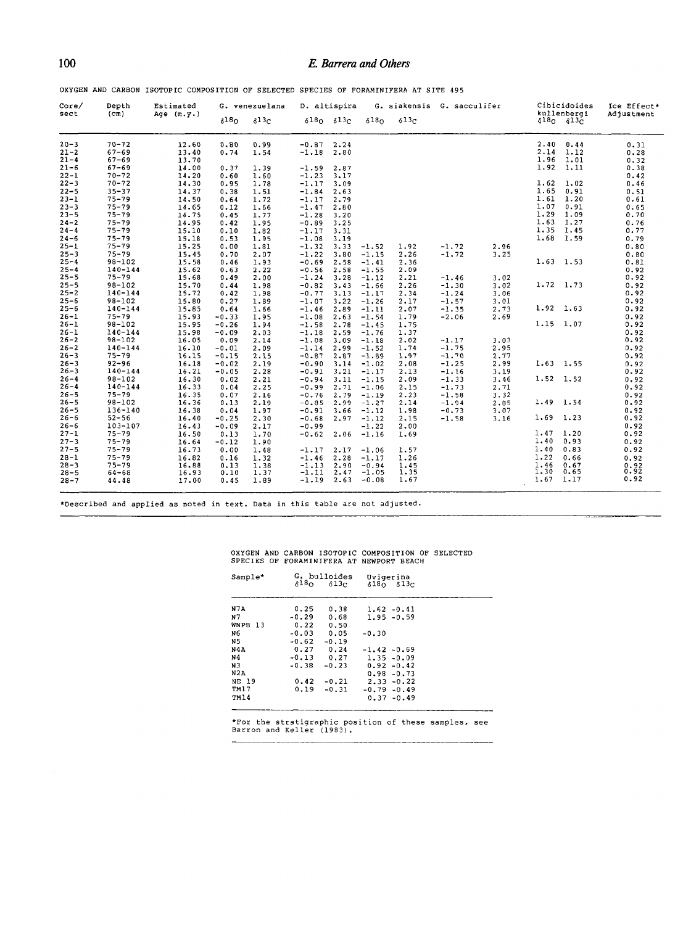# **1 0 <sup>0</sup>***E. Barrera and Others*

OXYGEN AND CARBON ISOTOPIC COMPOSITION OF SELECTED SPECIES OF FORAMINIFERA AT SITE 495

| Core/    | Depth             | Estimated    |               | G. venezuelana           |         | D. altispira              |                  | G. siakensis G. sacculifer |         |      |             | Cibicidoides            | Ice Effect* |
|----------|-------------------|--------------|---------------|--------------------------|---------|---------------------------|------------------|----------------------------|---------|------|-------------|-------------------------|-------------|
| sect     | (c <sub>m</sub> ) | Age $(m.y.)$ | $\delta^{18}$ | $\delta$ <sup>13</sup> c |         | $\delta$ 180 $\delta$ 130 | 618 <sub>0</sub> | 613 <sub>C</sub>           |         |      |             | kullenbergi<br>6180613c | Adjustment  |
| $20 - 3$ | $70 - 72$         | 12.60        | 0.80          | 0.99                     | $-0.87$ | 2.24                      |                  |                            |         |      | 2.40        | 0.44                    | 0.31        |
| $21 - 2$ | $67 - 69$         | 13.40        | 0.74          | 1.54                     | $-1.18$ | 2.80                      |                  |                            |         |      | 2.14        | 1.12                    | 0.28        |
| $21 - 4$ | $67 - 69$         | 13.70        |               |                          |         |                           |                  |                            |         |      | 1.96        | 1.01                    | 0.32        |
| $21 - 6$ | $67 - 69$         | 14.00        | 0.37          | 1.39                     | $-1.59$ | 2.87                      |                  |                            |         |      | 1.92        | 1.11                    | 0.38        |
| $22 - 1$ | $70 - 72$         | 14.20        | 0.60          | 1.60                     | $-1.23$ | 3.17                      |                  |                            |         |      |             |                         | 0.42        |
| $22 - 3$ | $70 - 72$         | 14.30        | 0.95          | 1.78                     | $-1.17$ | 3.09                      |                  |                            |         |      | 1.62        | 1.02                    | 0.46        |
| $22 - 5$ | $35 - 37$         | 14.37        | 0.38          | 1.51                     | $-1.84$ | 2.63                      |                  |                            |         |      | 1.65        | 0.91                    | 0.51        |
| $23 - 1$ | $75 - 79$         | 14.50        | 0.64          | 1.72                     | $-1.17$ | 2.79                      |                  |                            |         |      | 1.61        | 1.20                    | 0.61        |
| $23 - 3$ | $75 - 79$         | 14.65        | 0.12          | 1.66                     | $-1.47$ | 2.80                      |                  |                            |         |      | 1.07        | 0.91                    | 0.65        |
| $23 - 5$ | $75 - 79$         | 14.75        | 0.45          | 1.77                     | $-1.28$ | 3.20                      |                  |                            |         |      | 1.29        | 1.09                    | 0.70        |
| $24 - 2$ | $75 - 79$         | 14.95        | 0.42          | 1.95                     | $-0.89$ | 3.25                      |                  |                            |         |      | 1.63        | 1.27                    | 0.76        |
| $24 - 4$ | $75 - 79$         | 15.10        | 0.10          | 1.82                     | $-1.17$ | 3.31                      |                  |                            |         |      | 1.35        | 1.45                    | 0.77        |
| $24 - 6$ | $75 - 79$         | 15.18        | 0.53          | 1.95                     | $-1.08$ | 3.19                      |                  |                            |         |      | 1.68        | 1.59                    | 0.79        |
| $25 - 1$ | $75 - 79$         | 15.25        | 0.00          | 1.81                     | $-1.32$ | 3.33                      | $-1.52$          | 1.92                       | $-1.72$ | 2.96 |             |                         | 0.80        |
| $25 - 3$ | $75 - 79$         | 15.45        | 0.70          | 2.07                     | $-1.22$ | 3.80                      | $-1.15$          | 2.26                       | $-1.72$ | 3.25 |             |                         | 0.80        |
| $25 - 4$ | $98 - 102$        | 15.58        | 0.46          | 1.93                     | $-0.69$ | 2.58                      | $-1.41$          | 2.36                       |         |      |             | $1.63$ 1.53             | 0.81        |
| $25 - 4$ | $140 - 144$       | 15.62        | 0.63          | 2.22                     | $-0.56$ | 2.58                      | $-1.55$          | 2.09                       |         |      |             |                         | 0.92        |
| $25 - 5$ | $75 - 79$         | 15.68        | 0.49          | 2.00                     | $-1.24$ | 3.28                      | $-1.12$          | 2.21                       | $-1.46$ | 3.02 |             |                         | 0.92        |
| $25 - 5$ | $98 - 102$        | 15.70        | 0.44          | 1.98                     | $-0.82$ | 3.43                      | $-1.66$          | 2.26                       | $-1.30$ | 3.02 |             | $1.72$ 1.73             | 0.92        |
| $25 - 2$ | $140 - 144$       | 15.72        | 0.42          | 1.98                     | $-0.77$ | 3.13                      | $-1.17$          | 2.34                       | $-1.24$ | 3.06 |             |                         | 0.92        |
| $25 - 6$ | $98 - 102$        | 15.80        | 0.27          | 1.89                     | $-1.07$ | 3.22                      | $-1.26$          | 2.17                       | $-1.57$ | 3.01 |             |                         | 0.92        |
| $25 - 6$ | 140-144           | 15.85        | 0.64          | 1.66                     | $-1.46$ | 2.89                      | $-1.11$          | 2.07                       | $-1.35$ | 2.73 |             | 1.92 1.63               | 0.92        |
| $26 - 1$ | $75 - 79$         | 15.93        | $-0.33$       | 1.95                     | $-1.08$ | 2.63                      | $-1.54$          | 1.79                       | $-2.06$ | 2.69 |             |                         | 0.92        |
| $26 - 1$ | $98 - 102$        | 15.95        | $-0.26$       | 1.94                     | $-1.58$ | 2.78                      | $-1.45$          | 1.75                       |         |      | $1.15$ 1.07 |                         | 0.92        |
| $26 - 1$ | $140 - 144$       | 15.98        | $-0.09$       | 2.03                     | $-1.18$ | 2.59                      | $-1.76$          | 1.37                       |         |      |             |                         | 0.92        |
| $26 - 2$ | $98 - 102$        | 16.05        | 0.09          | 2.14                     | $-1.08$ | 3.09                      | $-1.18$          | 2.02                       | $-1.17$ | 3.03 |             |                         | 0.92        |
| $26 - 2$ | $140 - 144$       | 16.10        | $-0.01$       | 2.09                     | $-1.14$ | 2.99                      | $-1.52$          | 1.74                       | $-1.75$ | 2.95 |             |                         | 0.92        |
| $26 - 3$ | $75 - 79$         | 16.15        | $-0.15$       | 2.15                     | $-0.87$ | 2.87                      | $-1.89$          | 1.97                       | $-1.70$ | 2.77 |             |                         | 0.92        |
| $26 - 3$ | $92 - 96$         | 16.18        | $-0.02$       | 2.19                     | $-0.90$ | 3.14                      | $-1.02$          | 2.08                       | $-1.25$ | 2.99 | $1.63$ 1.55 |                         | 0.92        |
| $26 - 3$ | $140 - 144$       | 16.21        | $-0.05$       | 2.28                     | $-0.91$ | 3.21                      | $-1.17$          | 2.13                       | $-1.16$ | 3.19 |             |                         | 0.92        |
| $26 - 4$ | $98 - 102$        | 16.30        | 0.02          | 2.21                     | $-0.94$ | 3.11                      | $-1.15$          | 2.09                       | $-1.33$ | 3.46 | $1.52$ 1.52 |                         | 0.92        |
| $26 - 4$ | $140 - 144$       | 16.33        | 0.04          | 2.25                     | $-0.99$ | 2.71                      | $-1.06$          | 2.15                       | $-1.73$ | 2.71 |             |                         | 0.92        |
| $26 - 5$ | $75 - 79$         | 16.35        | 0.07          | 2.16                     | $-0.76$ | 2.79                      | $-1.19$          | 2.23                       | $-1.58$ | 3.32 |             |                         | 0.92        |
| $26 - 5$ | $98 - 102$        | 16.36        | 0.13          | 2.19                     | $-0.85$ | 2.99                      | $-1.27$          | 2.14                       | $-1.94$ | 2.85 | $1.49$ 1.54 |                         | 0.92        |
| $26 - 5$ | $136 - 140$       | 16.38        | 0.04          | 1.97                     | $-0.91$ | 3.66                      | $-1.12$          | 1.98                       | $-0.73$ | 3.07 |             |                         | 0.92        |
| $26 - 6$ | $52 - 56$         | 16.40        | $-0.25$       | 2.30                     | $-0.68$ | 2.97                      | $-1.12$          | 2.15                       | $-1.58$ | 3.16 | $1.69$ 1.23 |                         | 0.92        |
| $26 - 6$ | $103 - 107$       | 16.43        | $-0.09$       | 2.17                     | $-0.99$ |                           | $-1.22$          | 2.00                       |         |      |             |                         | 0.92        |
| $27 - 1$ | $75 - 79$         | 16.50        | 0.13          | 1.70                     | $-0.62$ | 2.06                      | $-1.16$          | 1.69                       |         |      | $1.47$ 1.20 |                         | 0.92        |
| $27 - 3$ | $75 - 79$         | 16.64        | $-0.12$       | 1.90                     |         |                           |                  |                            |         |      | 1.40        | 0.93                    | 0.92        |
| $27 - 5$ | $75 - 79$         | 16.73        | 0.00          | 1.48                     | $-1.17$ | 2.17                      | $-1.06$          | 1.57                       |         |      | 1.40        | 0.83                    | 0.92        |
| $28 - 1$ | $75 - 79$         | 16.82        | 0.16          | 1.32                     | $-1.46$ | 2.28                      | $-1.17$          | 1.26                       |         |      | 1.22        | 0.66                    | 0.92        |
| $28 - 3$ | $75 - 79$         | 16,88        | 0.13          | 1.38                     | $-1.13$ | 2.90                      | $-0.94$          | 1.45                       |         |      | 1.46        | 0.67                    | 0.92        |
| $28 - 5$ | $64 - 68$         | 16.93        | 0.10          | 1.37                     | $-1.11$ | 2.47                      | $-1.05$          | 1.35                       |         |      | 1.30        | 0.65                    |             |
| $28 - 7$ | 44.48             | 17.00        | 0.45          | 1.89                     | $-1.19$ | 2.63                      | $-0.08$          | 1.67                       |         |      | 1.67        | 1.17                    | 0.92        |

•Described and applied as noted in text. Data in this table are not adjusted.

|  | OXYGEN AND CARBON ISOTOPIC COMPOSITION OF SELECTED |  |
|--|----------------------------------------------------|--|
|  | SPECIES OF FORAMINIFERA AT NEWPORT BEACH           |  |

| Sample*                                                                                                    |                                                                             | G. bulloides<br>$\delta^{18}$ O $\delta^{13}$ C                    | Uvigerina<br>8180 813C                                                                                         |  |
|------------------------------------------------------------------------------------------------------------|-----------------------------------------------------------------------------|--------------------------------------------------------------------|----------------------------------------------------------------------------------------------------------------|--|
| N7A<br>N7<br>WNPB <sub>13</sub><br>N <sub>6</sub><br>N <sub>5</sub><br>N4A<br>N4<br>N3<br>N <sub>2</sub> A | 0.25<br>$-0.29$<br>0.22<br>$-0.03$<br>$-0.62$<br>0.27<br>$-0.13$<br>$-0.38$ | 0.38<br>0.68<br>0.50<br>0.05<br>$-0.19$<br>0.24<br>0.27<br>$-0.23$ | $1.62 - 0.41$<br>$1.95 - 0.59$<br>$-0.30$<br>$-1.42 - 0.69$<br>$1.35 - 0.09$<br>$0.92 - 0.42$<br>$0.98 - 0.73$ |  |
| NE 19<br>TM17<br><b>TM14</b>                                                                               | 0.42<br>0.19                                                                | $-0.21$<br>$-0.31$                                                 | $2.33 - 0.22$<br>$-0.79 - 0.49$<br>$0.37 - 0.49$                                                               |  |

\*For the stratigraphie position of these samples, see Barron and Keller (1983).

\_\_\_\_\_\_\_\_\_\_\_\_\_\_\_\_\_\_\_\_\_\_\_\_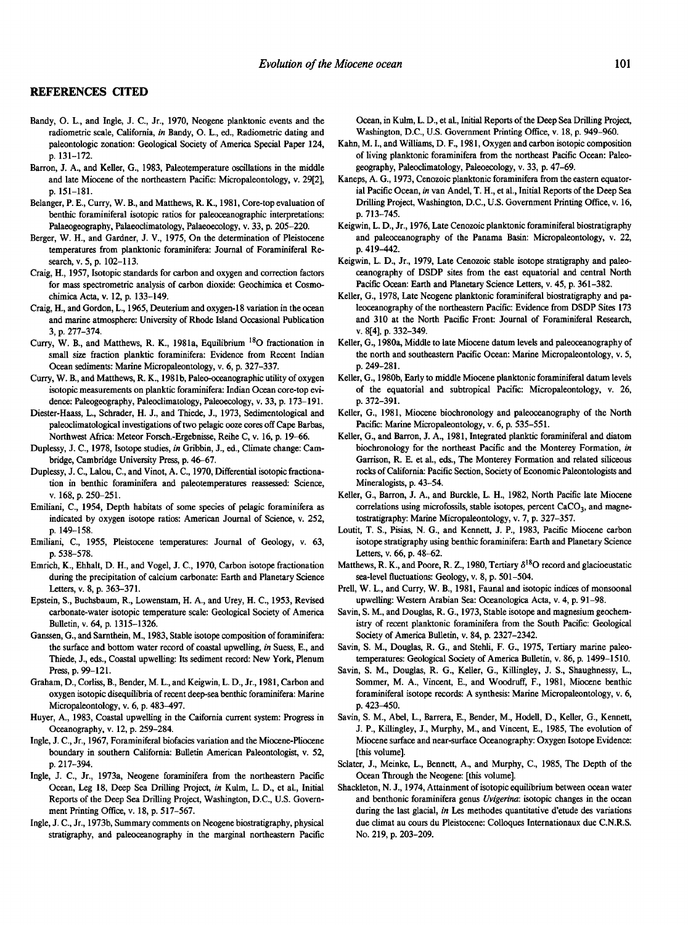#### **REFERENCES CITED**

- Bandy, O. L., and Ingle, J. C., Jr., 1970, Neogene planktonic events and the radiometric scale, California, *in* Bandy, O. L., ed., Radiometric dating and paleontologic zonation: Geological Society of America Special Paper 124, p. 131-172.
- Barron, J. A., and Keller, G., 1983, Paleotemperature oscillations in the middle and late Miocene of the northeastern Pacific: Micropaleontology, v. 29[2], p. 151-181.
- Belanger, P. E., Curry, W. B., and Matthews, R. K., 1981, Core-top evaluation of benthic foraminiferal isotopic ratios for paleoceanographic interpretations: Palaeogeography, Palaeoclimatology, Palaeoecology, v. 33, p. 205-220.
- Berger, W. H., and Gardner, J. V., 1975, On the determination of Pleistocene temperatures from planktonic foraminifera: Journal of Foraminiferal Research, v. 5, p. 102-113.
- Craig, H., 1957, Isotopic standards for carbon and oxygen and correction factors for mass spectrometric analysis of carbon dioxide: Geochimica et Cosmochimica Acta, v. 12, p. 133-149.
- Craig, H., and Gordon, L., 1965, Deuterium and oxygen-18 variation in the ocean and marine atmosphere: University of Rhode Island Occasional Publication 3, p. 277-374.
- Curry, W. B., and Matthews, R. K., 1981a, Equilibrium<sup>18</sup>O fractionation in small size fraction planktic foraminifera: Evidence from Recent Indian Ocean sediments: Marine Micropaleontology, v. 6, p. 327-337.
- Curry, W. B., and Matthews, R. K., 1981b, Paleo-oceanographic utility of oxygen isotopic measurements on planktic foraminifera: Indian Ocean core-top evidence: Paleogeography, Paleoclimatology, Paleoecology, v. 33, p. 173-191.
- Diester-Haass, L., Schrader, H. J., and Thiede, J., 1973, Sedimentological and paleoclimatological investigations of two pelagic ooze cores off Cape Barbas, Northwest Africa: Meteor Forsch.-Ergebnisse, Reihe C, v. 16, p. 19-66.
- Duplessy, J. C., 1978, Isotope studies, *in* Gribbin, J., ed., Climate change: Cambridge, Cambridge University Press, p. 46-67.
- Duplessy, J. C., Lalou, C., and Vinot, A. C., 1970, Differential isotopic fractionation in benthic foraminifera and paleotemperatures reassessed: Science, v. 168, p. 250-251.
- Emiliani, C., 1954, Depth habitats of some species of pelagic foraminifera as indicated by oxygen isotope ratios: American Journal of Science, v. 252, p. 149-158.
- Emiliani, C., 1955, Pleistocene temperatures: Journal of Geology, v. 63, p. 538-578.
- Emrich, K., Ehhalt, D. H., and Vogel, J. C., 1970, Carbon isotope fractionation during the precipitation of calcium carbonate: Earth and Planetary Science Letters, v. 8, p. 363-371.
- Epstein, S., Buchsbaum, R., Lowenstam, H. A., and Urey, H. C., 1953, Revised carbonate-water isotopic temperature scale: Geological Society of America Bulletin, v. 64, p. 1315-1326.
- Ganssen, G., and Sarnthein, M., 1983, Stable isotope composition of foraminifera: the surface and bottom water record of coastal upwelling, *in* Suess, E., and Thiede, J., eds., Coastal upwelling: Its sediment record: New York, Plenum Press, p. 99-121.
- Graham, D., Corliss, B., Bender, M. L., and Keigwin, L. D., Jr., 1981, Carbon and oxygen isotopic disequilibria of recent deep-sea benthic foraminifera: Marine Micropaleontology, v. 6, p. 483-497.
- Huyer, A., 1983, Coastal upwelling in the Caifornia current system: Progress in Oceanography, v. 12, p. 259-284.
- Ingle, J. C., Jr., 1967, Foraminiferal biofacies variation and the Miocene-Pliocene boundary in southern California: Bulletin American Paleontologist, v. 52, p. 217-394.
- Ingle, J. C., Jr., 1973a, Neogene foraminifera from the northeastern Pacific Ocean, Leg 18, Deep Sea Drilling Project, *in* Kulm, L. D., et al., Initial Reports of the Deep Sea Drilling Project, Washington, D.C., U.S. Government Printing Office, v. 18, p. 517-567.
- Ingle, J. C., Jr., 1973b, Summary comments on Neogene biostratigraphy, physical stratigraphy, and paleoceanography in the marginal northeastern Pacific

Ocean, in Kulm, L. D., et al., Initial Reports of the Deep Sea Drilling Project, Washington, D.C., U.S. Government Printing Office, v. 18, p. 949-960.

- Kahn, M. I., and Williams, D. F., 1981, Oxygen and carbon isotopic composition of living planktonic foraminifera from the northeast Pacific Ocean: Paleogeography, Paleoclimatology, Paleoecology, v. 33, p. 47-69.
- Kaneps, A. G., 1973, Cenozoic planktonic foraminifera from the eastern equatorial Pacific Ocean, *in* van Andel, T. H., et al., Initial Reports of the Deep Sea Drilling Project, Washington, D.C., U.S. Government Printing Office, v. 16, p. 713-745.
- Keigwin, L. D., Jr., 1976, Late Cenozoic planktonic foraminiferal biostratigraphy and paleoceanography of the Panama Basin: Micropaleontology, v. 22, p. 419-442.
- Keigwin, L. D., Jr., 1979, Late Cenozoic stable isotope stratigraphy and paleoceanography of DSDP sites from the east equatorial and central North Pacific Ocean: Earth and Planetary Science Letters, v. 45, p. 361-382.
- Keller, G., 1978, Late Neogene planktonic foraminiferal biostratigraphy and paleoceanography of the northeastern Pacific: Evidence from DSDP Sites 173 and 310 at the North Pacific Front: Journal of Foraminiferal Research, v. 8[4], p. 332-349.
- Keller, G., 1980a, Middle to late Miocene datum levels and paleoceanography of the north and southeastern Pacific Ocean: Marine Micropaleontology, v. 5, p. 249-281.
- Keller, G., 1980b, Early to middle Miocene planktonic foraminiferal datum levels of the equatorial and subtropical Pacific: Micropaleontology, v. 26, p. 372-391.
- Keller, G., 1981, Miocene biochronology and paleoceanography of the North Pacific: Marine Micropaleontology, v. 6, p. 535-551.
- Keller, G., and Barron, J. A., 1981, Integrated planktic foraminiferal and diatom biochronology for the northeast Pacific and the Monterey Formation, *in*  Garrison, R. E. et al., eds., The Monterey Formation and related siliceous rocks of California: Pacific Section, Society of Economic Paleontologists and Mineralogists, p. 43-54.
- Keller, G., Barron, J. A., and Burckle, L. H., 1982, North Pacific late Miocene correlations using microfossils, stable isotopes, percent  $CaCO<sub>3</sub>$ , and magnetostratigraphy: Marine Micropaleontology, v. 7, p. 327-357.
- Loutit, T. S., Pisias, N. G., and Kennett, J. P., 1983, Pacific Miocene carbon isotope stratigraphy using benthic foraminifera: Earth and Planetary Science Letters, v. 66, p. 48-62.
- Matthews, R. K., and Poore, R. Z., 1980, Tertiary  $\delta^{18}O$  record and glacioeustatic sea-level fluctuations: Geology, v. 8, p. 501-504.
- Prell, W. L., and Curry, W. B., 1981, Faunal and isotopic indices of monsoonal upwelling: Western Arabian Sea: Oceanologica Acta, v. 4, p. 91-98.
- Savin, S. M., and Douglas, R. G., 1973, Stable isotope and magnesium geochemistry of recent planktonic foraminifera from the South Pacific: Geological Society of America Bulletin, v. 84, p. 2327-2342.
- Savin, S. M., Douglas, R. G., and Stehli, F. G., 1975, Tertiary marine paleotemperatures: Geological Society of America Bulletin, v. 86, p. 1499-1510.
- Savin, S. M., Douglas, R. G., Keller, G., Killingley, J. S., Shaughnessy, L., Sommer, M. A., Vincent, E., and Woodruff, F., 1981, Miocene benthic foraminiferal isotope records: A synthesis: Marine Micropaleontology, v. 6, p. 423-450.
- Savin, S. M., Abel, L., Barrera, E., Bender, M., Hodell, D., Keller, G., Kennett, J. P., Killingley, J., Murphy, M., and Vincent, E., 1985, The evolution of Miocene surface and near-surface Oceanography: Oxygen Isotope Evidence: [this volume].
- Sclater, J., Meinke, L., Bennett, A., and Murphy, C., 1985, The Depth of the Ocean Through the Neogene: [this volume].
- Shackleton, N. J., 1974, Attainment of isotopic equilibrium between ocean water and benthonic foraminifera genus *Uvigerina:* isotopic changes in the ocean during the last glacial, *in* Les methodes quantitative d'etude des variations due climat au cours du Pleistocene: Colloques Internationaux due C.N.R.S. No. 219, p. 203-209.